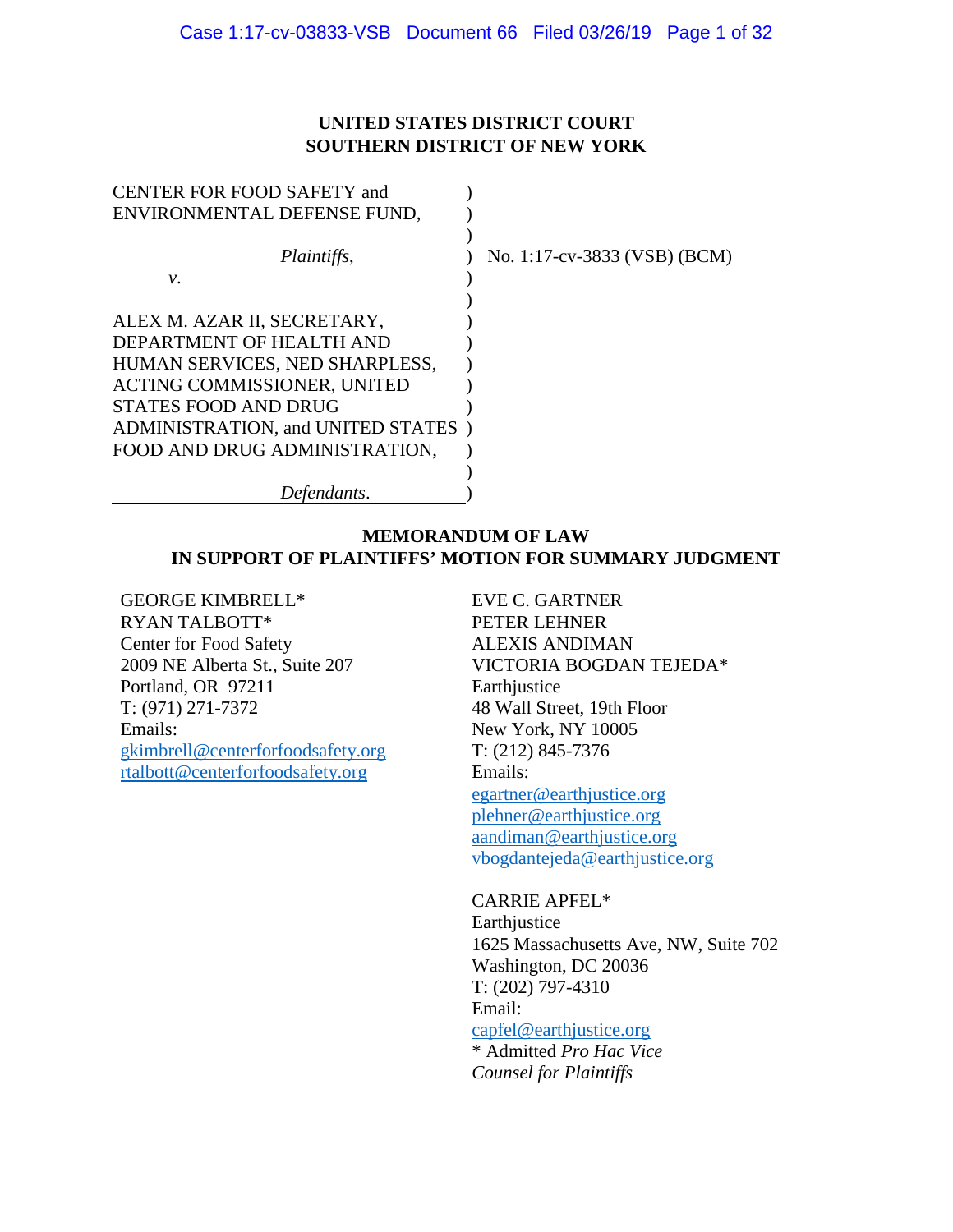# **UNITED STATES DISTRICT COURT SOUTHERN DISTRICT OF NEW YORK**

| CENTER FOR FOOD SAFETY and         |                              |
|------------------------------------|------------------------------|
| ENVIRONMENTAL DEFENSE FUND,        |                              |
|                                    |                              |
| <i>Plaintiffs,</i>                 | No. 1:17-cv-3833 (VSB) (BCM) |
| ν.                                 |                              |
|                                    |                              |
| ALEX M. AZAR II, SECRETARY,        |                              |
| DEPARTMENT OF HEALTH AND           |                              |
| HUMAN SERVICES, NED SHARPLESS,     |                              |
| ACTING COMMISSIONER, UNITED        |                              |
| <b>STATES FOOD AND DRUG</b>        |                              |
| ADMINISTRATION, and UNITED STATES) |                              |
| FOOD AND DRUG ADMINISTRATION,      |                              |
|                                    |                              |
| Defendants.                        |                              |

# **MEMORANDUM OF LAW IN SUPPORT OF PLAINTIFFS' MOTION FOR SUMMARY JUDGMENT**

GEORGE KIMBRELL\* RYAN TALBOTT\* Center for Food Safety 2009 NE Alberta St., Suite 207 Portland, OR 97211 T: (971) 271-7372 Emails: [gkimbrell@centerforfoodsafety.org](mailto:gkimbrell@centerforfoodsafety.org) [rtalbott@centerforfoodsafety.org](mailto:rtalbott@centerforfoodsafety.org)

EVE C. GARTNER PETER LEHNER ALEXIS ANDIMAN VICTORIA BOGDAN TEJEDA\* Earthjustice 48 Wall Street, 19th Floor New York, NY 10005 T: (212) 845-7376 Emails: [egartner@earthjustice.org](mailto:egartner@earthjustice.org) [plehner@earthjustice.org](mailto:plehner@earthjustice.org) [aandiman@earthjustice.org](mailto:aandiman@earthjustice.org) vbogdantejeda@earthjustice.org

CARRIE APFEL\* Earthjustice 1625 Massachusetts Ave, NW, Suite 702 Washington, DC 20036 T: (202) 797-4310 Email: [capfel@earthjustice.org](mailto:capfel@earthjustice.org) \* Admitted *Pro Hac Vice Counsel for Plaintiffs*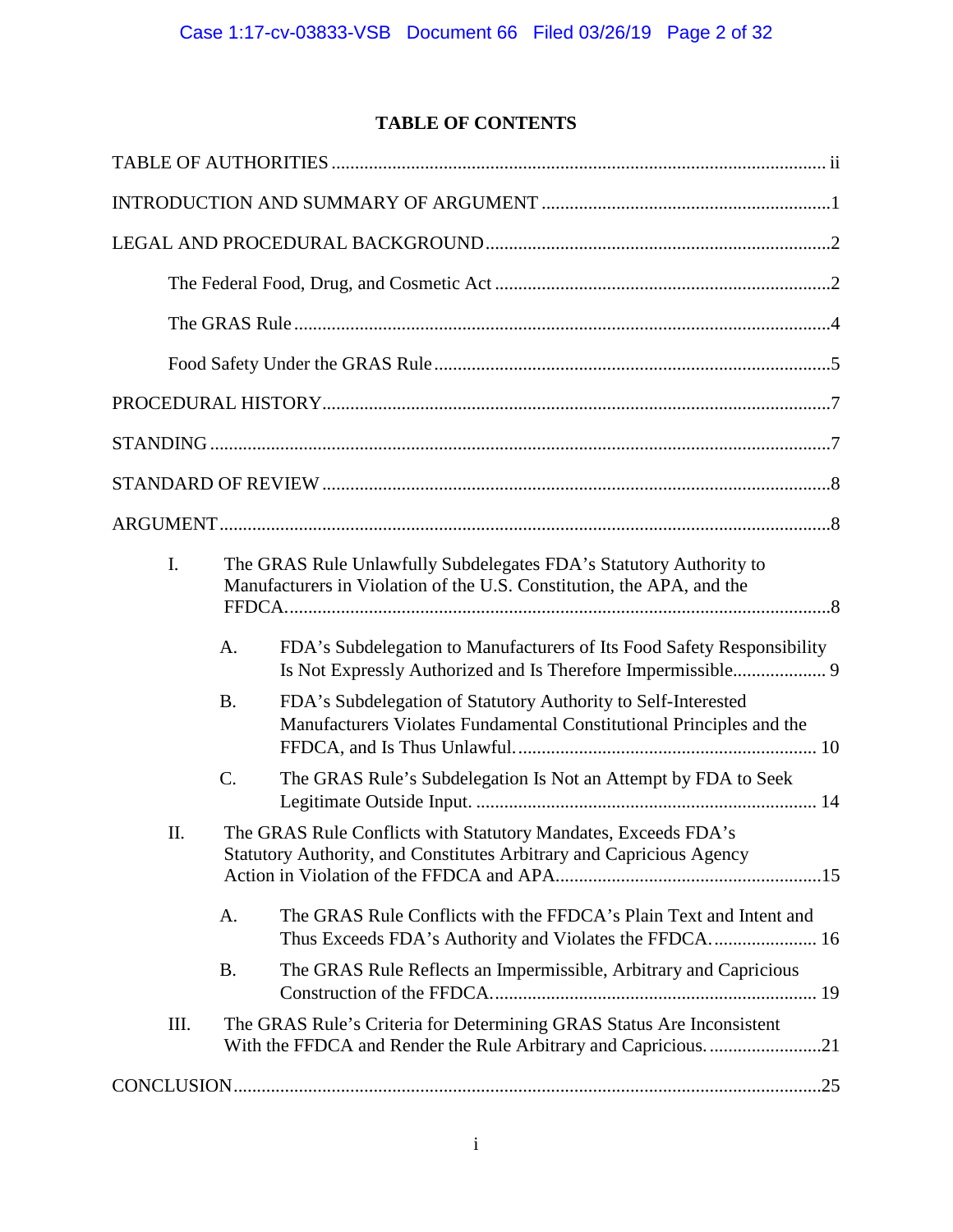# **TABLE OF CONTENTS**

| I.   |                 | The GRAS Rule Unlawfully Subdelegates FDA's Statutory Authority to<br>Manufacturers in Violation of the U.S. Constitution, the APA, and the |  |  |
|------|-----------------|---------------------------------------------------------------------------------------------------------------------------------------------|--|--|
|      | A.              | FDA's Subdelegation to Manufacturers of Its Food Safety Responsibility<br>Is Not Expressly Authorized and Is Therefore Impermissible 9      |  |  |
|      | <b>B.</b>       | FDA's Subdelegation of Statutory Authority to Self-Interested<br>Manufacturers Violates Fundamental Constitutional Principles and the       |  |  |
|      | $\mathcal{C}$ . | The GRAS Rule's Subdelegation Is Not an Attempt by FDA to Seek                                                                              |  |  |
| II.  |                 | The GRAS Rule Conflicts with Statutory Mandates, Exceeds FDA's<br>Statutory Authority, and Constitutes Arbitrary and Capricious Agency      |  |  |
|      | A.              | The GRAS Rule Conflicts with the FFDCA's Plain Text and Intent and                                                                          |  |  |
|      | <b>B.</b>       | The GRAS Rule Reflects an Impermissible, Arbitrary and Capricious                                                                           |  |  |
| III. |                 | The GRAS Rule's Criteria for Determining GRAS Status Are Inconsistent                                                                       |  |  |
|      |                 |                                                                                                                                             |  |  |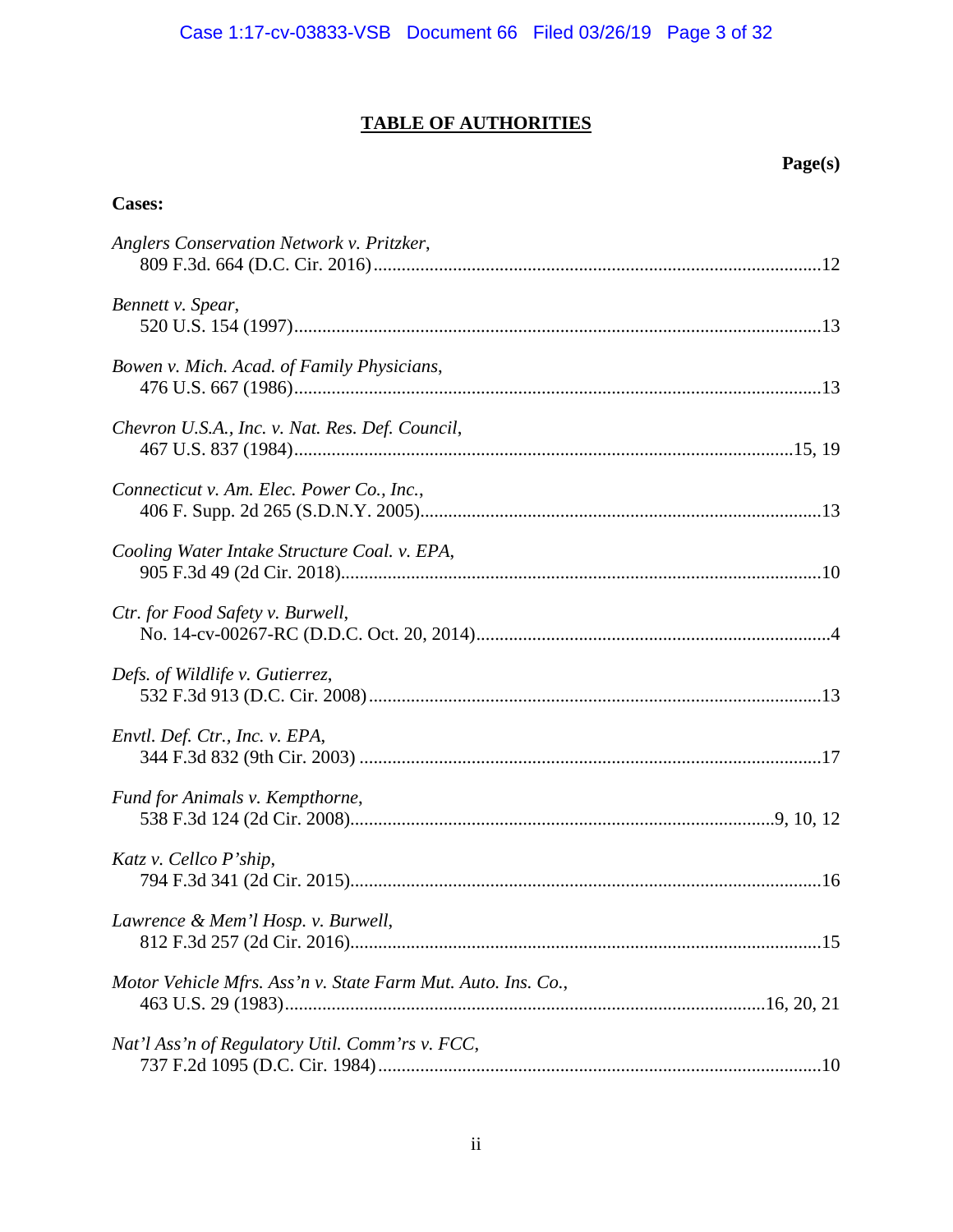# **TABLE OF AUTHORITIES**

# **Page(s)**

# **Cases:**

| Anglers Conservation Network v. Pritzker,                    |  |
|--------------------------------------------------------------|--|
| Bennett v. Spear,                                            |  |
| Bowen v. Mich. Acad. of Family Physicians,                   |  |
| Chevron U.S.A., Inc. v. Nat. Res. Def. Council,              |  |
| Connecticut v. Am. Elec. Power Co., Inc.,                    |  |
| Cooling Water Intake Structure Coal. v. EPA,                 |  |
| Ctr. for Food Safety v. Burwell,                             |  |
| Defs. of Wildlife v. Gutierrez,                              |  |
| Envtl. Def. Ctr., Inc. v. EPA,                               |  |
| Fund for Animals v. Kempthorne,                              |  |
| Katz v. Cellco P'ship,                                       |  |
| Lawrence & Mem'l Hosp. v. Burwell,                           |  |
| Motor Vehicle Mfrs. Ass'n v. State Farm Mut. Auto. Ins. Co., |  |
| Nat'l Ass'n of Regulatory Util. Comm'rs v. FCC,              |  |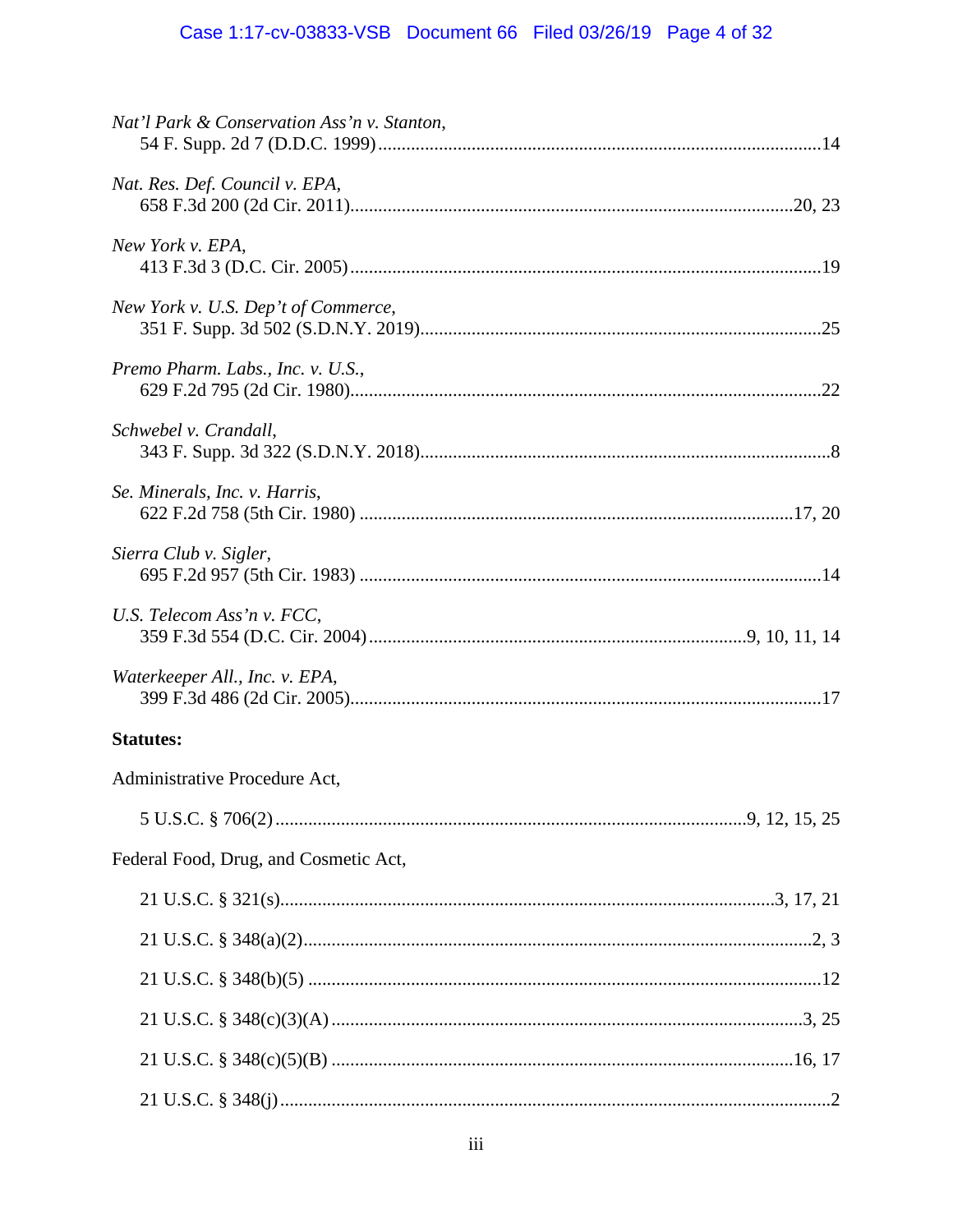# Case 1:17-cv-03833-VSB Document 66 Filed 03/26/19 Page 4 of 32

| Nat'l Park & Conservation Ass'n v. Stanton, |  |
|---------------------------------------------|--|
| Nat. Res. Def. Council v. EPA,              |  |
| New York v. EPA,                            |  |
| New York v. U.S. Dep't of Commerce,         |  |
| Premo Pharm. Labs., Inc. v. U.S.,           |  |
| Schwebel v. Crandall,                       |  |
| Se. Minerals, Inc. v. Harris,               |  |
| Sierra Club v. Sigler,                      |  |
| U.S. Telecom Ass'n v. FCC,                  |  |
| Waterkeeper All., Inc. v. EPA,              |  |
| <b>Statutes:</b>                            |  |
| Administrative Procedure Act,               |  |
|                                             |  |
| Federal Food, Drug, and Cosmetic Act,       |  |
|                                             |  |
|                                             |  |
|                                             |  |
|                                             |  |
|                                             |  |
|                                             |  |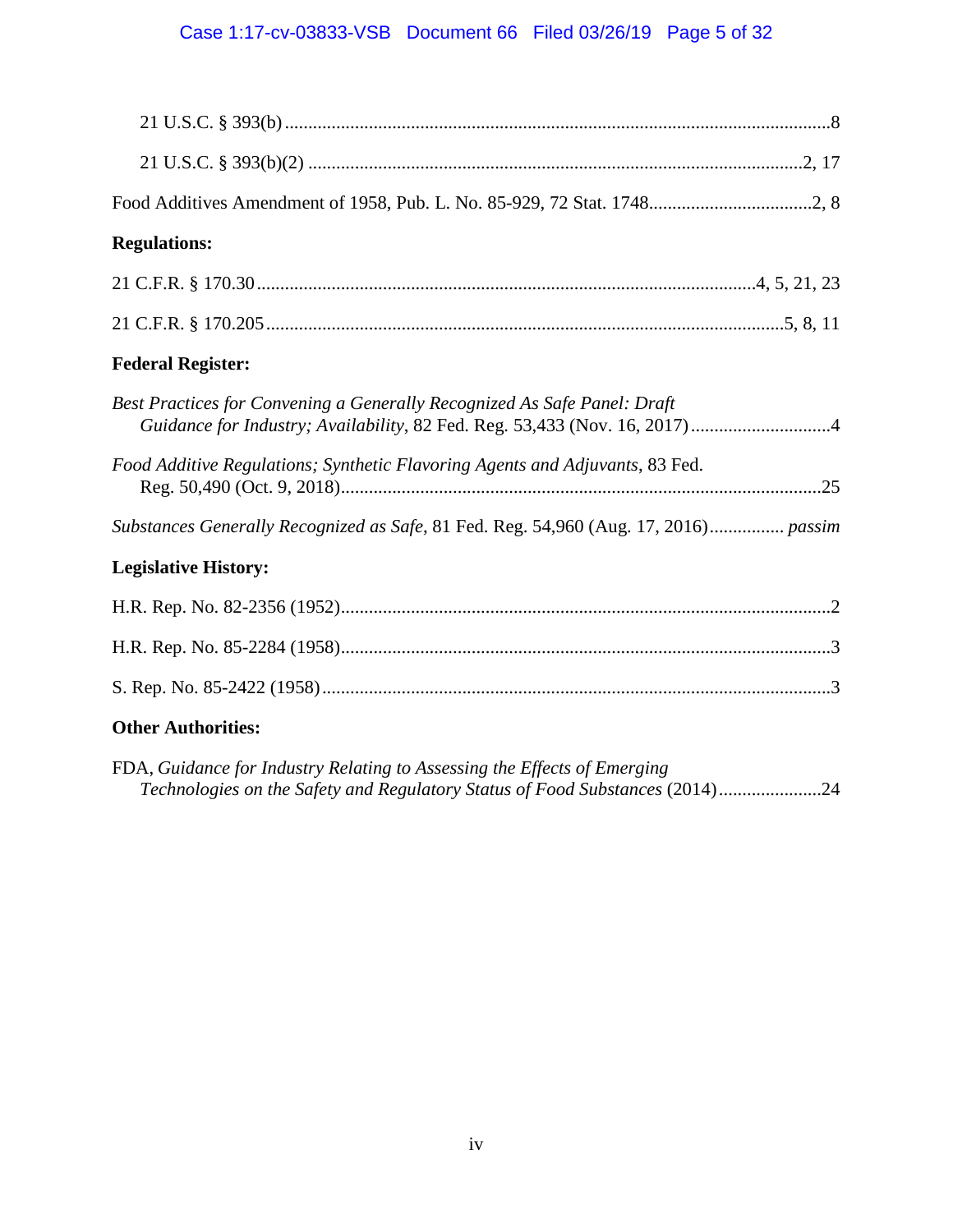# Case 1:17-cv-03833-VSB Document 66 Filed 03/26/19 Page 5 of 32

| <b>Regulations:</b>                                                                 |
|-------------------------------------------------------------------------------------|
|                                                                                     |
|                                                                                     |
| <b>Federal Register:</b>                                                            |
| Best Practices for Convening a Generally Recognized As Safe Panel: Draft            |
| Food Additive Regulations; Synthetic Flavoring Agents and Adjuvants, 83 Fed.        |
| Substances Generally Recognized as Safe, 81 Fed. Reg. 54,960 (Aug. 17, 2016) passim |
| <b>Legislative History:</b>                                                         |
|                                                                                     |
|                                                                                     |
|                                                                                     |
| <b>Other Authorities:</b>                                                           |

FDA, *Guidance for Industry Relating to Assessing the Effects of Emerging Technologies on the Safety and Regulatory Status of Food Substances* (2014).....................[.24](#page-28-0)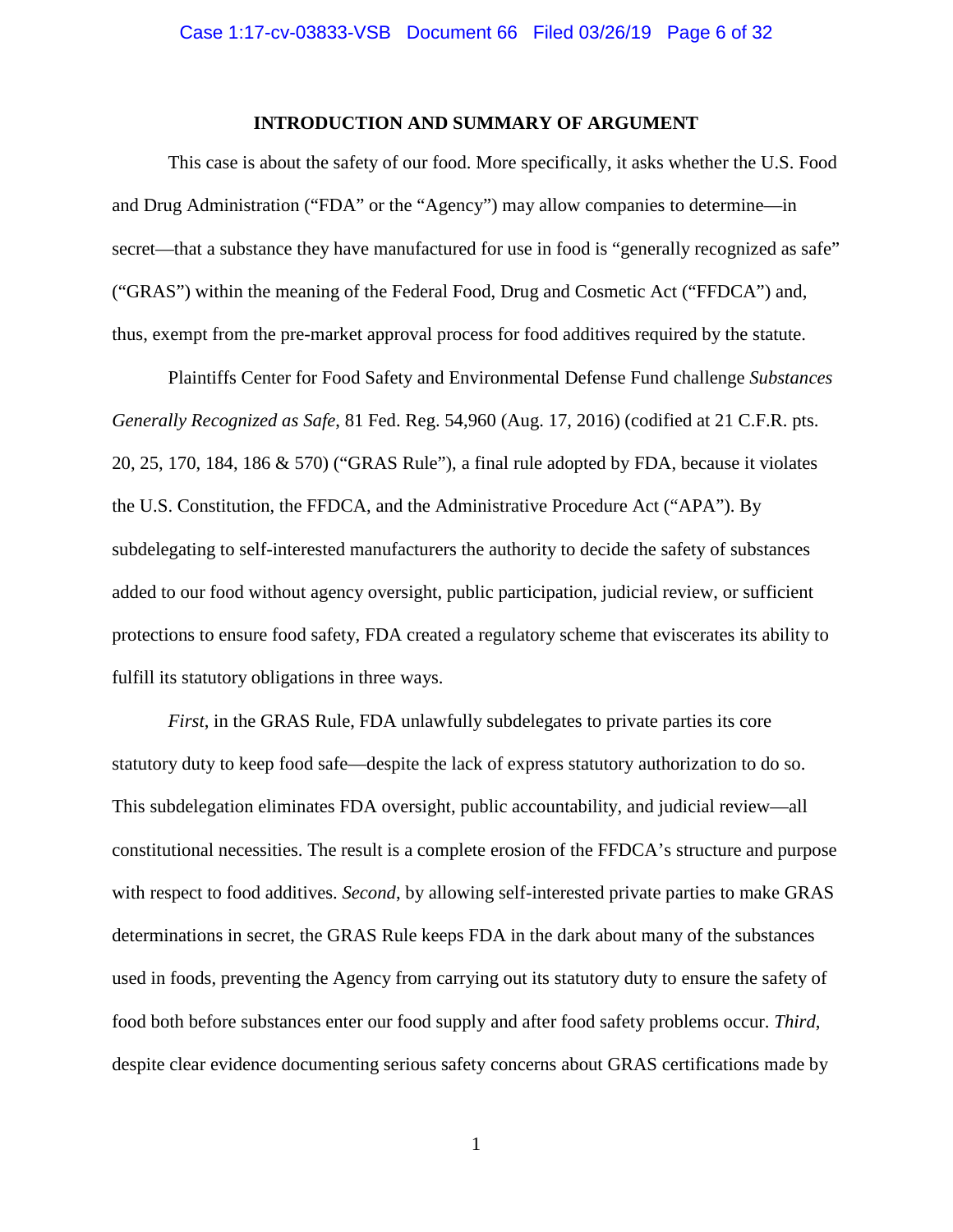### **INTRODUCTION AND SUMMARY OF ARGUMENT**

<span id="page-5-0"></span>This case is about the safety of our food. More specifically, it asks whether the U.S. Food and Drug Administration ("FDA" or the "Agency") may allow companies to determine—in secret—that a substance they have manufactured for use in food is "generally recognized as safe" ("GRAS") within the meaning of the Federal Food, Drug and Cosmetic Act ("FFDCA") and, thus, exempt from the pre-market approval process for food additives required by the statute.

Plaintiffs Center for Food Safety and Environmental Defense Fund challenge *Substances Generally Recognized as Safe*, 81 Fed. Reg. 54,960 (Aug. 17, 2016) (codified at 21 C.F.R. pts. 20, 25, 170, 184, 186 & 570) ("GRAS Rule"), a final rule adopted by FDA, because it violates the U.S. Constitution, the FFDCA, and the Administrative Procedure Act ("APA"). By subdelegating to self-interested manufacturers the authority to decide the safety of substances added to our food without agency oversight, public participation, judicial review, or sufficient protections to ensure food safety, FDA created a regulatory scheme that eviscerates its ability to fulfill its statutory obligations in three ways.

*First*, in the GRAS Rule, FDA unlawfully subdelegates to private parties its core statutory duty to keep food safe—despite the lack of express statutory authorization to do so. This subdelegation eliminates FDA oversight, public accountability, and judicial review—all constitutional necessities. The result is a complete erosion of the FFDCA's structure and purpose with respect to food additives. *Second*, by allowing self-interested private parties to make GRAS determinations in secret, the GRAS Rule keeps FDA in the dark about many of the substances used in foods, preventing the Agency from carrying out its statutory duty to ensure the safety of food both before substances enter our food supply and after food safety problems occur. *Third*, despite clear evidence documenting serious safety concerns about GRAS certifications made by

1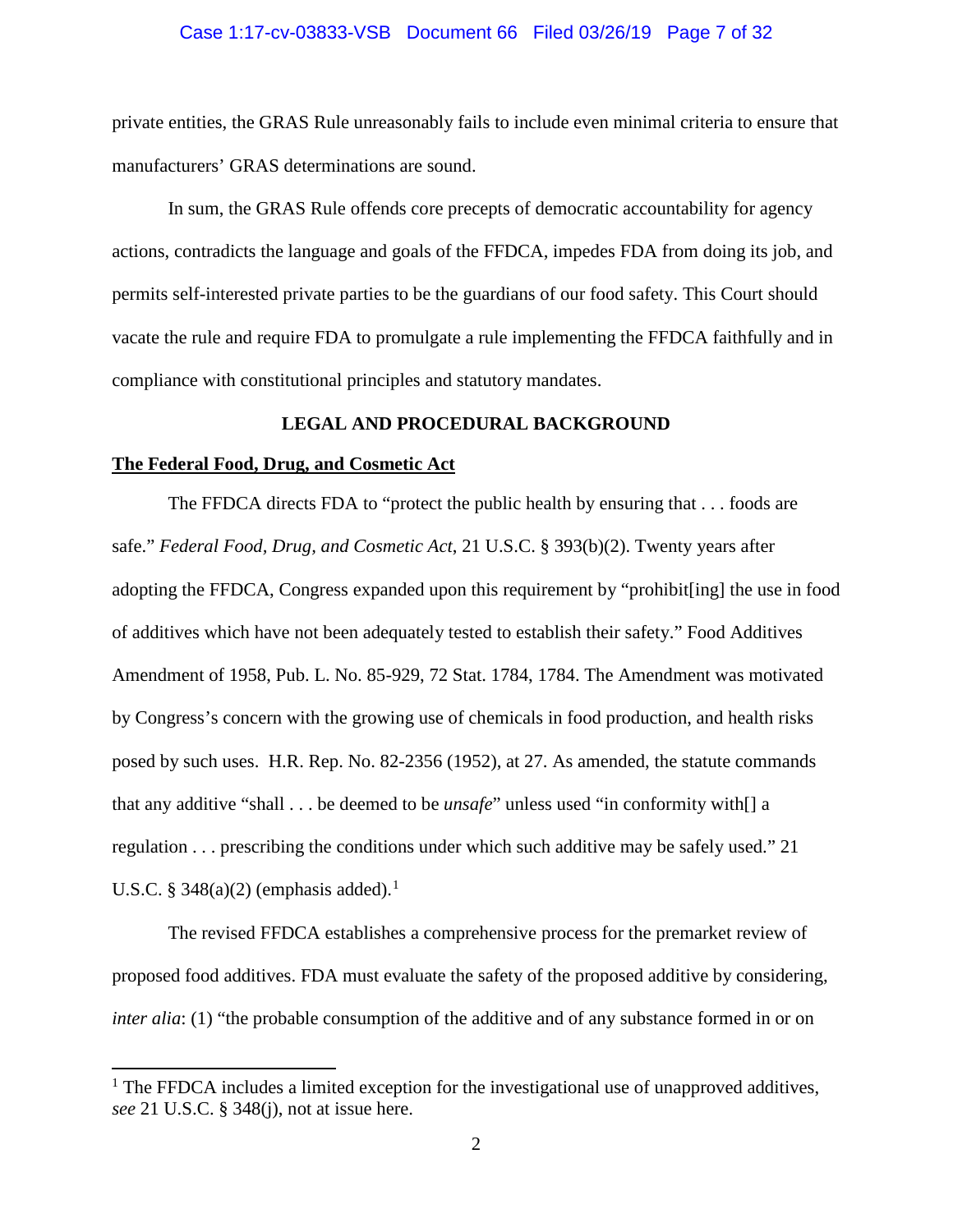#### Case 1:17-cv-03833-VSB Document 66 Filed 03/26/19 Page 7 of 32

private entities, the GRAS Rule unreasonably fails to include even minimal criteria to ensure that manufacturers' GRAS determinations are sound.

In sum, the GRAS Rule offends core precepts of democratic accountability for agency actions, contradicts the language and goals of the FFDCA, impedes FDA from doing its job, and permits self-interested private parties to be the guardians of our food safety. This Court should vacate the rule and require FDA to promulgate a rule implementing the FFDCA faithfully and in compliance with constitutional principles and statutory mandates.

#### **LEGAL AND PROCEDURAL BACKGROUND**

#### <span id="page-6-1"></span><span id="page-6-0"></span>**The Federal Food, Drug, and Cosmetic Act**

 $\overline{a}$ 

<span id="page-6-3"></span>The FFDCA directs FDA to "protect the public health by ensuring that . . . foods are safe." *Federal Food, Drug, and Cosmetic Act*, 21 U.S.C. § 393(b)(2). Twenty years after adopting the FFDCA, Congress expanded upon this requirement by "prohibit[ing] the use in food of additives which have not been adequately tested to establish their safety." Food Additives Amendment of 1958, Pub. L. No. 85-929, 72 Stat. 1784, 1784. The Amendment was motivated by Congress's concern with the growing use of chemicals in food production, and health risks posed by such uses. H.R. Rep. No. 82-2356 (1952), at 27. As amended, the statute commands that any additive "shall . . . be deemed to be *unsafe*" unless used "in conformity with[] a regulation . . . prescribing the conditions under which such additive may be safely used." 21 U.S.C. § 348(a)(2) (emphasis added).<sup>[1](#page-6-5)</sup>

<span id="page-6-4"></span>The revised FFDCA establishes a comprehensive process for the premarket review of proposed food additives. FDA must evaluate the safety of the proposed additive by considering, *inter alia*: (1) "the probable consumption of the additive and of any substance formed in or on

<span id="page-6-5"></span><span id="page-6-2"></span> $<sup>1</sup>$  The FFDCA includes a limited exception for the investigational use of unapproved additives,</sup> *see* 21 U.S.C. § 348(j), not at issue here.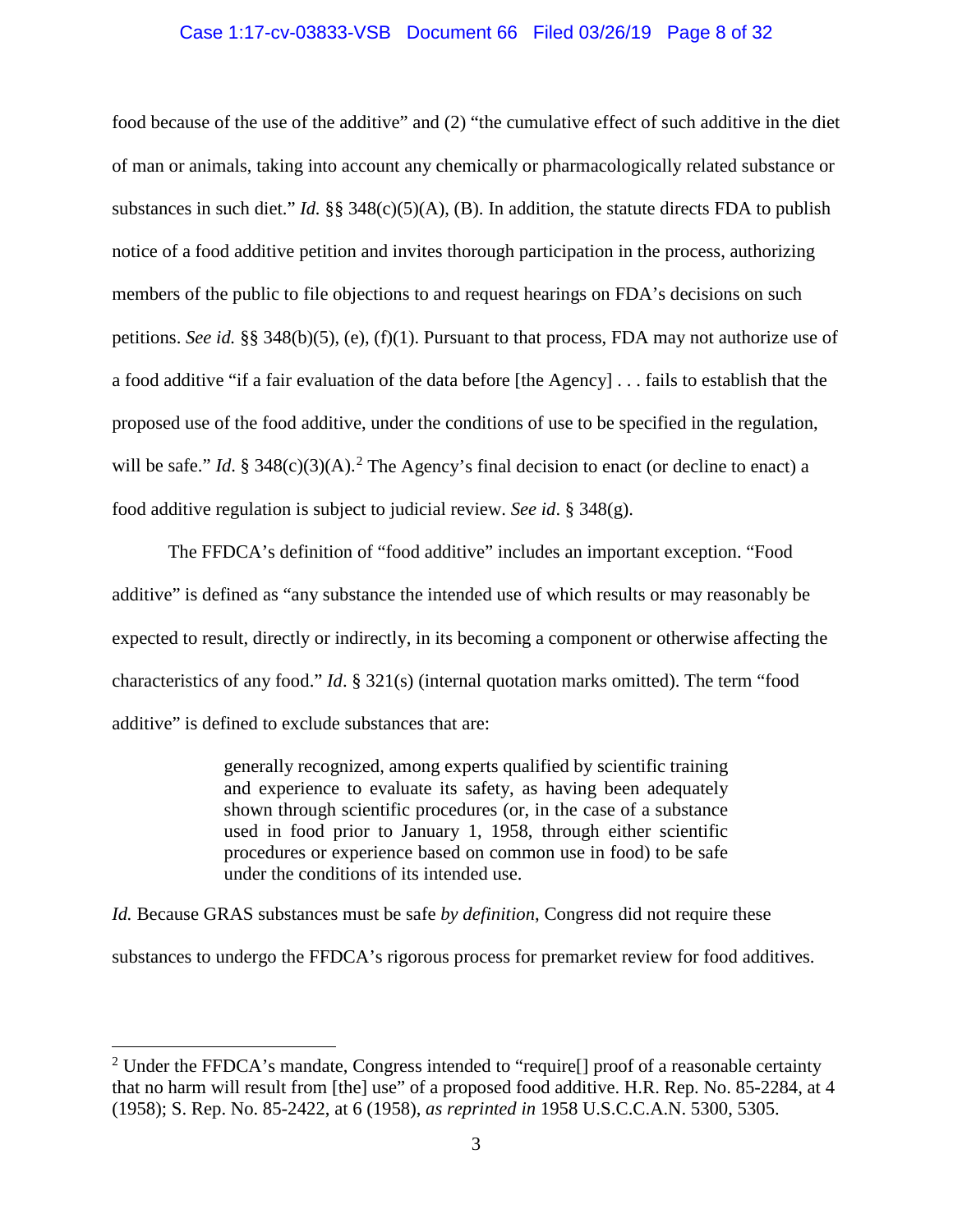#### Case 1:17-cv-03833-VSB Document 66 Filed 03/26/19 Page 8 of 32

food because of the use of the additive" and (2) "the cumulative effect of such additive in the diet of man or animals, taking into account any chemically or pharmacologically related substance or substances in such diet." *Id.* §§ 348(c)(5)(A), (B). In addition, the statute directs FDA to publish notice of a food additive petition and invites thorough participation in the process, authorizing members of the public to file objections to and request hearings on FDA's decisions on such petitions. *See id.* §§ 348(b)(5), (e), (f)(1). Pursuant to that process, FDA may not authorize use of a food additive "if a fair evaluation of the data before [the Agency] . . . fails to establish that the proposed use of the food additive, under the conditions of use to be specified in the regulation, will be safe." *Id.* § 348(c)(3)(A).<sup>[2](#page-7-3)</sup> The Agency's final decision to enact (or decline to enact) a food additive regulation is subject to judicial review. *See id*. § 348(g).

<span id="page-7-0"></span>The FFDCA's definition of "food additive" includes an important exception. "Food additive" is defined as "any substance the intended use of which results or may reasonably be expected to result, directly or indirectly, in its becoming a component or otherwise affecting the characteristics of any food." *Id*. § 321(s) (internal quotation marks omitted). The term "food additive" is defined to exclude substances that are:

> <span id="page-7-1"></span>generally recognized, among experts qualified by scientific training and experience to evaluate its safety, as having been adequately shown through scientific procedures (or, in the case of a substance used in food prior to January 1, 1958, through either scientific procedures or experience based on common use in food) to be safe under the conditions of its intended use.

*Id.* Because GRAS substances must be safe *by definition*, Congress did not require these substances to undergo the FFDCA's rigorous process for premarket review for food additives.

l

<span id="page-7-3"></span><span id="page-7-2"></span><sup>&</sup>lt;sup>2</sup> Under the FFDCA's mandate, Congress intended to "require[] proof of a reasonable certainty that no harm will result from [the] use" of a proposed food additive. H.R. Rep. No. 85-2284, at 4 (1958); S. Rep. No. 85-2422, at 6 (1958), *as reprinted in* 1958 U.S.C.C.A.N. 5300, 5305.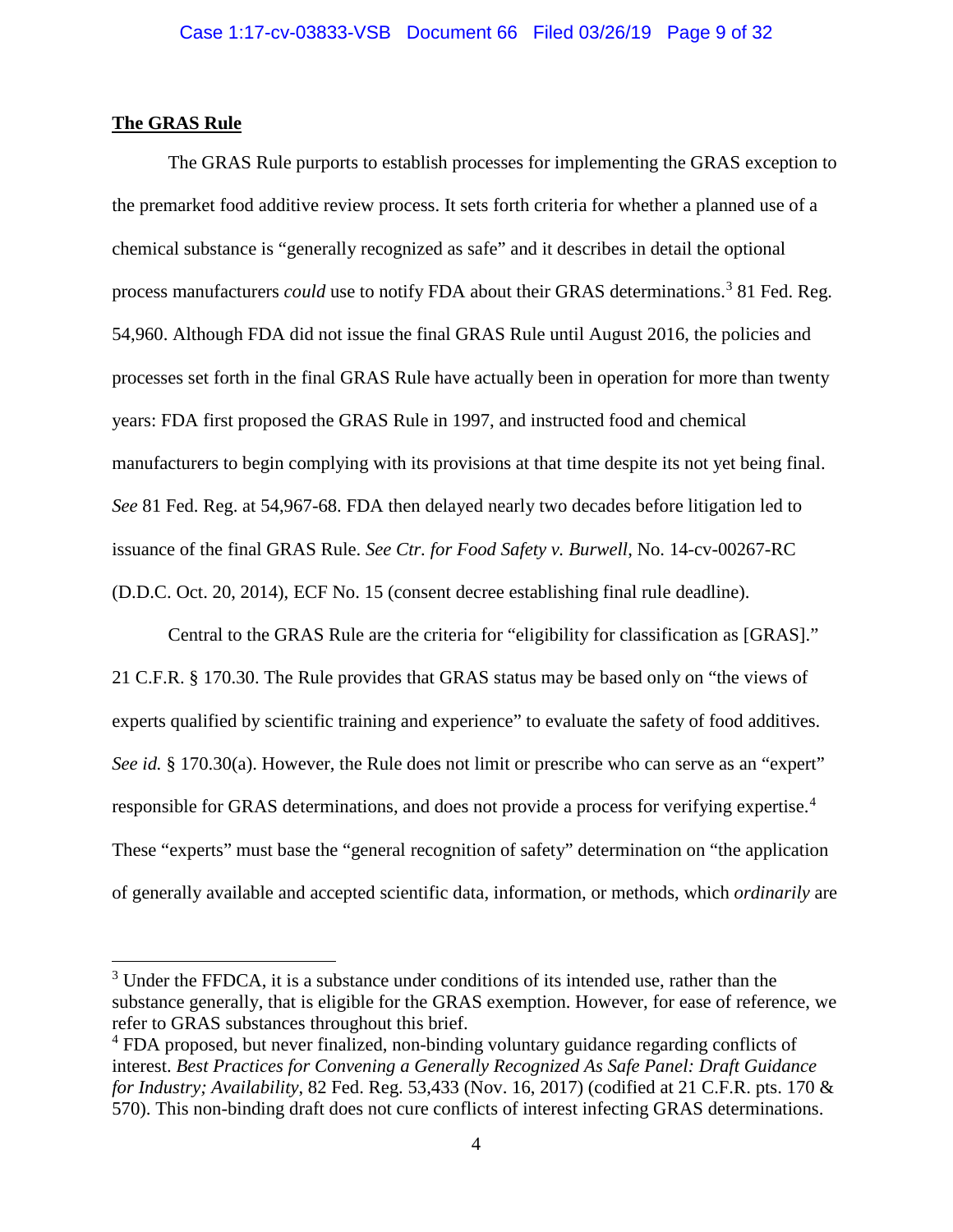#### <span id="page-8-0"></span>**The GRAS Rule**

 $\overline{a}$ 

<span id="page-8-4"></span>The GRAS Rule purports to establish processes for implementing the GRAS exception to the premarket food additive review process. It sets forth criteria for whether a planned use of a chemical substance is "generally recognized as safe" and it describes in detail the optional process manufacturers *could* use to notify FDA about their GRAS determinations. [3](#page-8-5) 81 Fed. Reg. 54,960. Although FDA did not issue the final GRAS Rule until August 2016, the policies and processes set forth in the final GRAS Rule have actually been in operation for more than twenty years: FDA first proposed the GRAS Rule in 1997, and instructed food and chemical manufacturers to begin complying with its provisions at that time despite its not yet being final. *See* 81 Fed. Reg. at 54,967-68. FDA then delayed nearly two decades before litigation led to issuance of the final GRAS Rule. *See Ctr. for Food Safety v. Burwell*, No. 14-cv-00267-RC (D.D.C. Oct. 20, 2014), ECF No. 15 (consent decree establishing final rule deadline).

<span id="page-8-2"></span><span id="page-8-1"></span>Central to the GRAS Rule are the criteria for "eligibility for classification as [GRAS]." 21 C.F.R. § 170.30. The Rule provides that GRAS status may be based only on "the views of experts qualified by scientific training and experience" to evaluate the safety of food additives. *See id.* § 170.30(a). However, the Rule does not limit or prescribe who can serve as an "expert" responsible for GRAS determinations, and does not provide a process for verifying expertise.<sup>[4](#page-8-6)</sup> These "experts" must base the "general recognition of safety" determination on "the application of generally available and accepted scientific data, information, or methods, which *ordinarily* are

<span id="page-8-5"></span><sup>&</sup>lt;sup>3</sup> Under the FFDCA, it is a substance under conditions of its intended use, rather than the substance generally, that is eligible for the GRAS exemption. However, for ease of reference, we refer to GRAS substances throughout this brief.

<span id="page-8-6"></span><span id="page-8-3"></span><sup>&</sup>lt;sup>4</sup> FDA proposed, but never finalized, non-binding voluntary guidance regarding conflicts of interest. *Best Practices for Convening a Generally Recognized As Safe Panel: Draft Guidance for Industry; Availability*, 82 Fed. Reg. 53,433 (Nov. 16, 2017) (codified at 21 C.F.R. pts. 170 & 570). This non-binding draft does not cure conflicts of interest infecting GRAS determinations.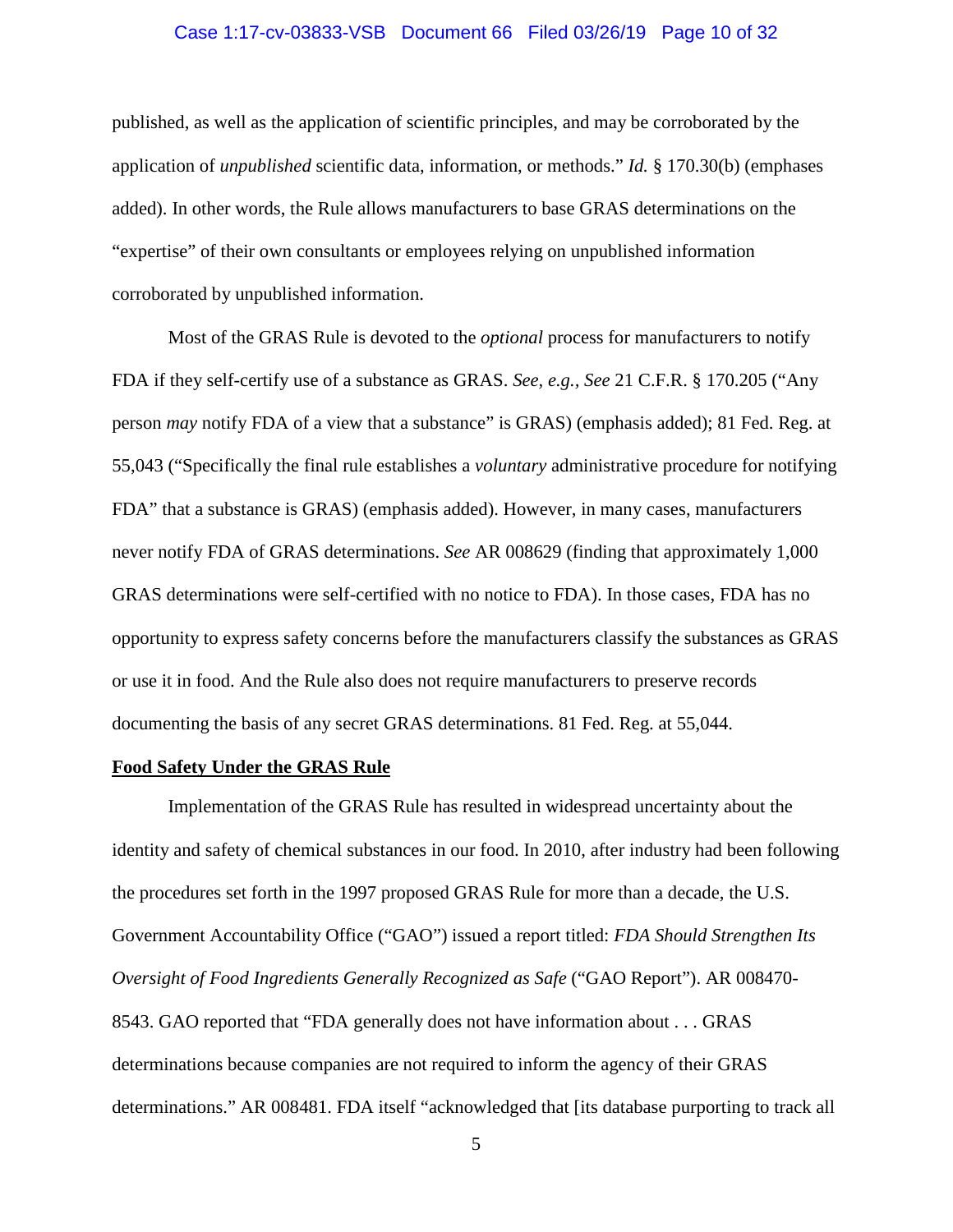#### <span id="page-9-1"></span>Case 1:17-cv-03833-VSB Document 66 Filed 03/26/19 Page 10 of 32

published, as well as the application of scientific principles, and may be corroborated by the application of *unpublished* scientific data, information, or methods." *Id.* § 170.30(b) (emphases added). In other words, the Rule allows manufacturers to base GRAS determinations on the "expertise" of their own consultants or employees relying on unpublished information corroborated by unpublished information.

<span id="page-9-2"></span>Most of the GRAS Rule is devoted to the *optional* process for manufacturers to notify FDA if they self-certify use of a substance as GRAS. *See, e.g., See* 21 C.F.R. § 170.205 ("Any person *may* notify FDA of a view that a substance" is GRAS) (emphasis added); 81 Fed. Reg. at 55,043 ("Specifically the final rule establishes a *voluntary* administrative procedure for notifying FDA" that a substance is GRAS) (emphasis added). However, in many cases, manufacturers never notify FDA of GRAS determinations. *See* AR 008629 (finding that approximately 1,000 GRAS determinations were self-certified with no notice to FDA). In those cases, FDA has no opportunity to express safety concerns before the manufacturers classify the substances as GRAS or use it in food. And the Rule also does not require manufacturers to preserve records documenting the basis of any secret GRAS determinations. 81 Fed. Reg. at 55,044.

#### <span id="page-9-0"></span>**Food Safety Under the GRAS Rule**

Implementation of the GRAS Rule has resulted in widespread uncertainty about the identity and safety of chemical substances in our food. In 2010, after industry had been following the procedures set forth in the 1997 proposed GRAS Rule for more than a decade, the U.S. Government Accountability Office ("GAO") issued a report titled: *FDA Should Strengthen Its Oversight of Food Ingredients Generally Recognized as Safe* ("GAO Report"). AR 008470- 8543. GAO reported that "FDA generally does not have information about . . . GRAS determinations because companies are not required to inform the agency of their GRAS determinations." AR 008481. FDA itself "acknowledged that [its database purporting to track all

5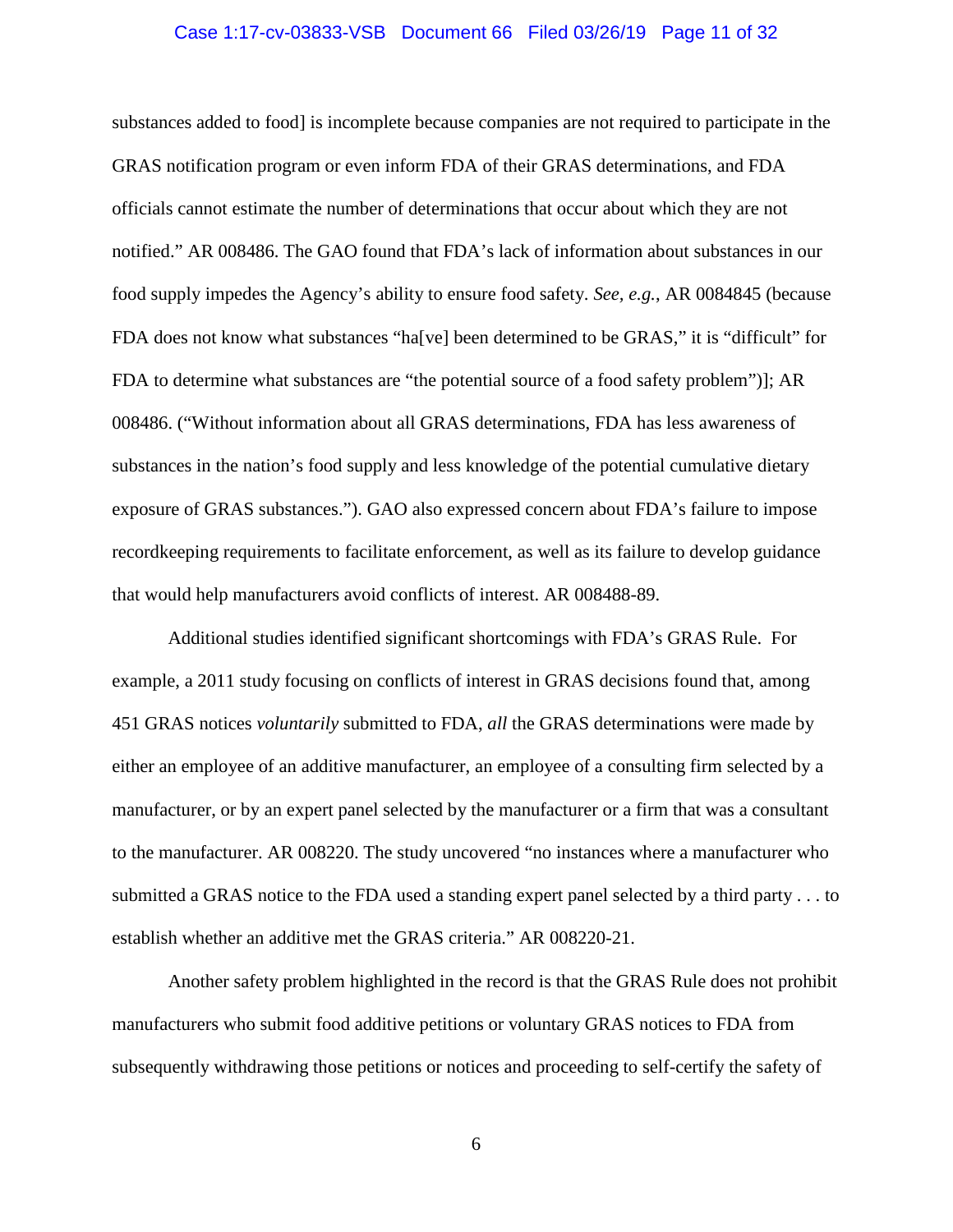#### Case 1:17-cv-03833-VSB Document 66 Filed 03/26/19 Page 11 of 32

substances added to food] is incomplete because companies are not required to participate in the GRAS notification program or even inform FDA of their GRAS determinations, and FDA officials cannot estimate the number of determinations that occur about which they are not notified." AR 008486. The GAO found that FDA's lack of information about substances in our food supply impedes the Agency's ability to ensure food safety. *See, e.g.*, AR 0084845 (because FDA does not know what substances "ha[ve] been determined to be GRAS," it is "difficult" for FDA to determine what substances are "the potential source of a food safety problem")]; AR 008486. ("Without information about all GRAS determinations, FDA has less awareness of substances in the nation's food supply and less knowledge of the potential cumulative dietary exposure of GRAS substances."). GAO also expressed concern about FDA's failure to impose recordkeeping requirements to facilitate enforcement, as well as its failure to develop guidance that would help manufacturers avoid conflicts of interest. AR 008488-89.

Additional studies identified significant shortcomings with FDA's GRAS Rule. For example, a 2011 study focusing on conflicts of interest in GRAS decisions found that, among 451 GRAS notices *voluntarily* submitted to FDA, *all* the GRAS determinations were made by either an employee of an additive manufacturer, an employee of a consulting firm selected by a manufacturer, or by an expert panel selected by the manufacturer or a firm that was a consultant to the manufacturer. AR 008220. The study uncovered "no instances where a manufacturer who submitted a GRAS notice to the FDA used a standing expert panel selected by a third party . . . to establish whether an additive met the GRAS criteria." AR 008220-21.

Another safety problem highlighted in the record is that the GRAS Rule does not prohibit manufacturers who submit food additive petitions or voluntary GRAS notices to FDA from subsequently withdrawing those petitions or notices and proceeding to self-certify the safety of

6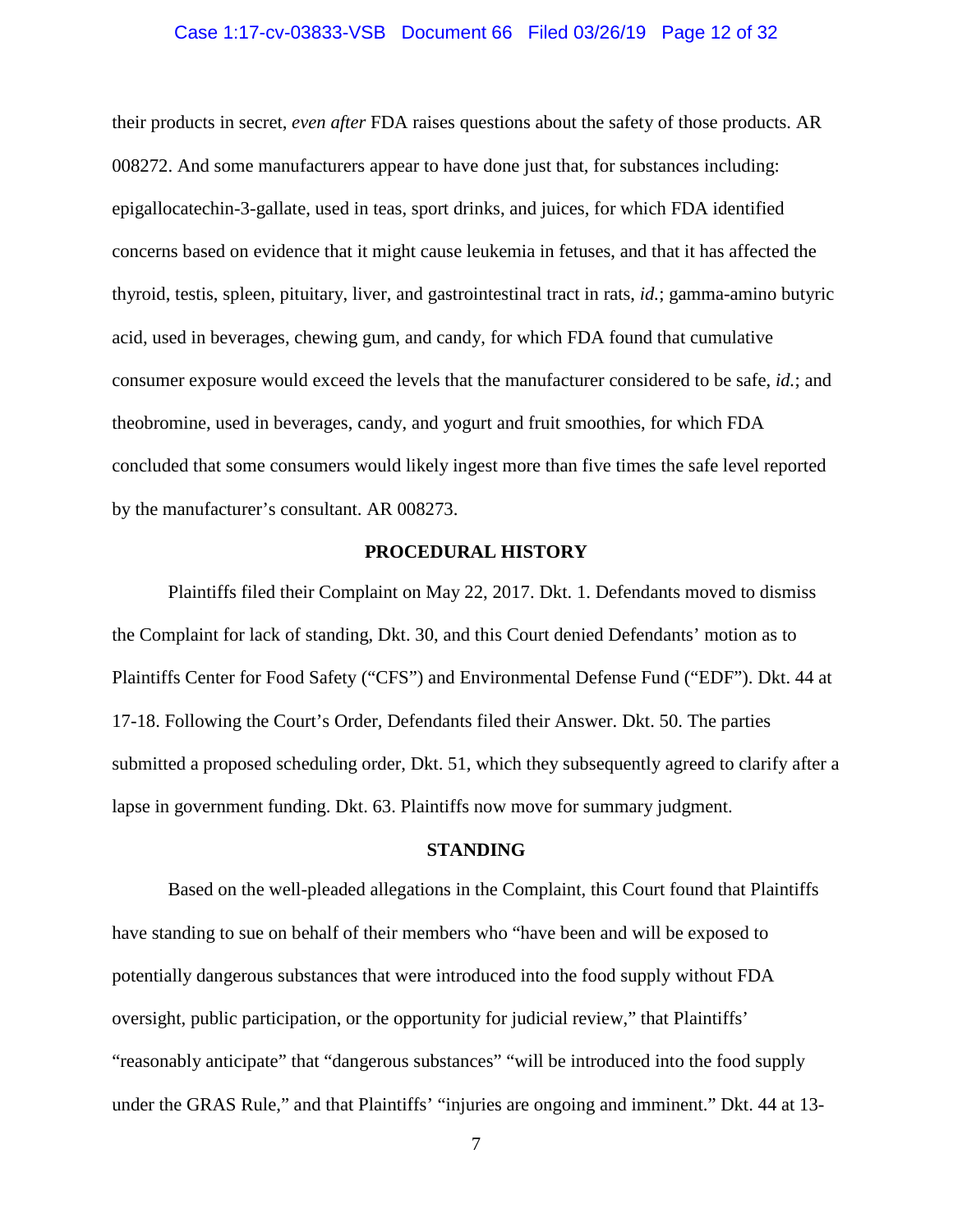#### Case 1:17-cv-03833-VSB Document 66 Filed 03/26/19 Page 12 of 32

their products in secret, *even after* FDA raises questions about the safety of those products. AR 008272. And some manufacturers appear to have done just that, for substances including: epigallocatechin-3-gallate, used in teas, sport drinks, and juices, for which FDA identified concerns based on evidence that it might cause leukemia in fetuses, and that it has affected the thyroid, testis, spleen, pituitary, liver, and gastrointestinal tract in rats, *id.*; gamma-amino butyric acid, used in beverages, chewing gum, and candy, for which FDA found that cumulative consumer exposure would exceed the levels that the manufacturer considered to be safe, *id.*; and theobromine, used in beverages, candy, and yogurt and fruit smoothies, for which FDA concluded that some consumers would likely ingest more than five times the safe level reported by the manufacturer's consultant. AR 008273.

#### **PROCEDURAL HISTORY**

<span id="page-11-0"></span>Plaintiffs filed their Complaint on May 22, 2017. Dkt. 1. Defendants moved to dismiss the Complaint for lack of standing, Dkt. 30, and this Court denied Defendants' motion as to Plaintiffs Center for Food Safety ("CFS") and Environmental Defense Fund ("EDF"). Dkt. 44 at 17-18. Following the Court's Order, Defendants filed their Answer. Dkt. 50. The parties submitted a proposed scheduling order, Dkt. 51, which they subsequently agreed to clarify after a lapse in government funding. Dkt. 63. Plaintiffs now move for summary judgment.

# **STANDING**

<span id="page-11-1"></span>Based on the well-pleaded allegations in the Complaint, this Court found that Plaintiffs have standing to sue on behalf of their members who "have been and will be exposed to potentially dangerous substances that were introduced into the food supply without FDA oversight, public participation, or the opportunity for judicial review," that Plaintiffs' "reasonably anticipate" that "dangerous substances" "will be introduced into the food supply under the GRAS Rule," and that Plaintiffs' "injuries are ongoing and imminent." Dkt. 44 at 13-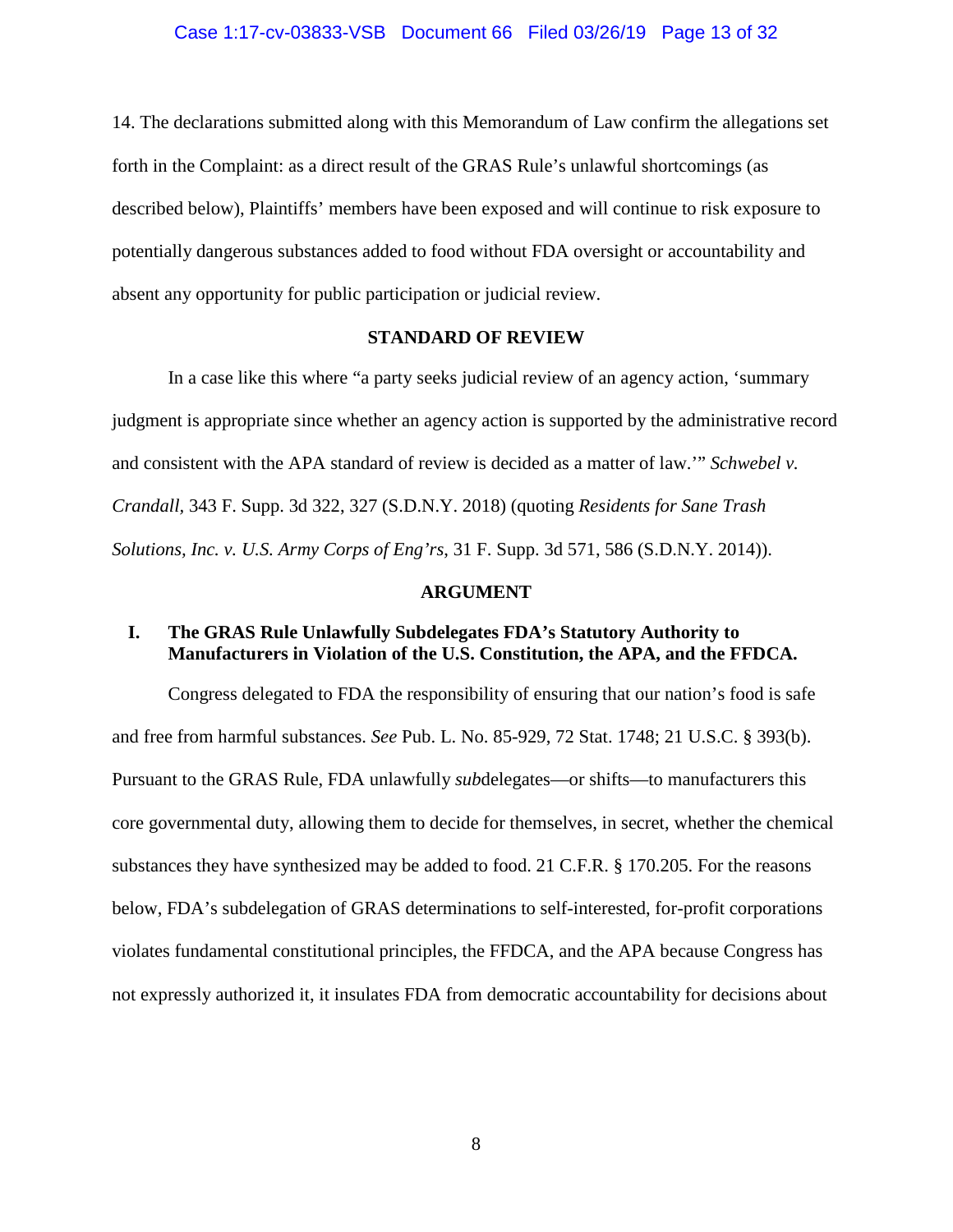14. The declarations submitted along with this Memorandum of Law confirm the allegations set forth in the Complaint: as a direct result of the GRAS Rule's unlawful shortcomings (as described below), Plaintiffs' members have been exposed and will continue to risk exposure to potentially dangerous substances added to food without FDA oversight or accountability and absent any opportunity for public participation or judicial review.

#### **STANDARD OF REVIEW**

<span id="page-12-0"></span>In a case like this where "a party seeks judicial review of an agency action, 'summary judgment is appropriate since whether an agency action is supported by the administrative record and consistent with the APA standard of review is decided as a matter of law.'" *Schwebel v. Crandall,* 343 F. Supp. 3d 322, 327 (S.D.N.Y. 2018) (quoting *Residents for Sane Trash Solutions, Inc. v. U.S. Army Corps of Eng'rs*, 31 F. Supp. 3d 571, 586 (S.D.N.Y. 2014)).

#### <span id="page-12-6"></span><span id="page-12-5"></span><span id="page-12-4"></span><span id="page-12-3"></span>**ARGUMENT**

# <span id="page-12-2"></span><span id="page-12-1"></span>**I. The GRAS Rule Unlawfully Subdelegates FDA's Statutory Authority to Manufacturers in Violation of the U.S. Constitution, the APA, and the FFDCA.**

Congress delegated to FDA the responsibility of ensuring that our nation's food is safe and free from harmful substances. *See* Pub. L. No. 85-929, 72 Stat. 1748; 21 U.S.C. § 393(b). Pursuant to the GRAS Rule, FDA unlawfully *sub*delegates—or shifts—to manufacturers this core governmental duty, allowing them to decide for themselves, in secret, whether the chemical substances they have synthesized may be added to food. 21 C.F.R. § 170.205. For the reasons below, FDA's subdelegation of GRAS determinations to self-interested, for-profit corporations violates fundamental constitutional principles, the FFDCA, and the APA because Congress has not expressly authorized it, it insulates FDA from democratic accountability for decisions about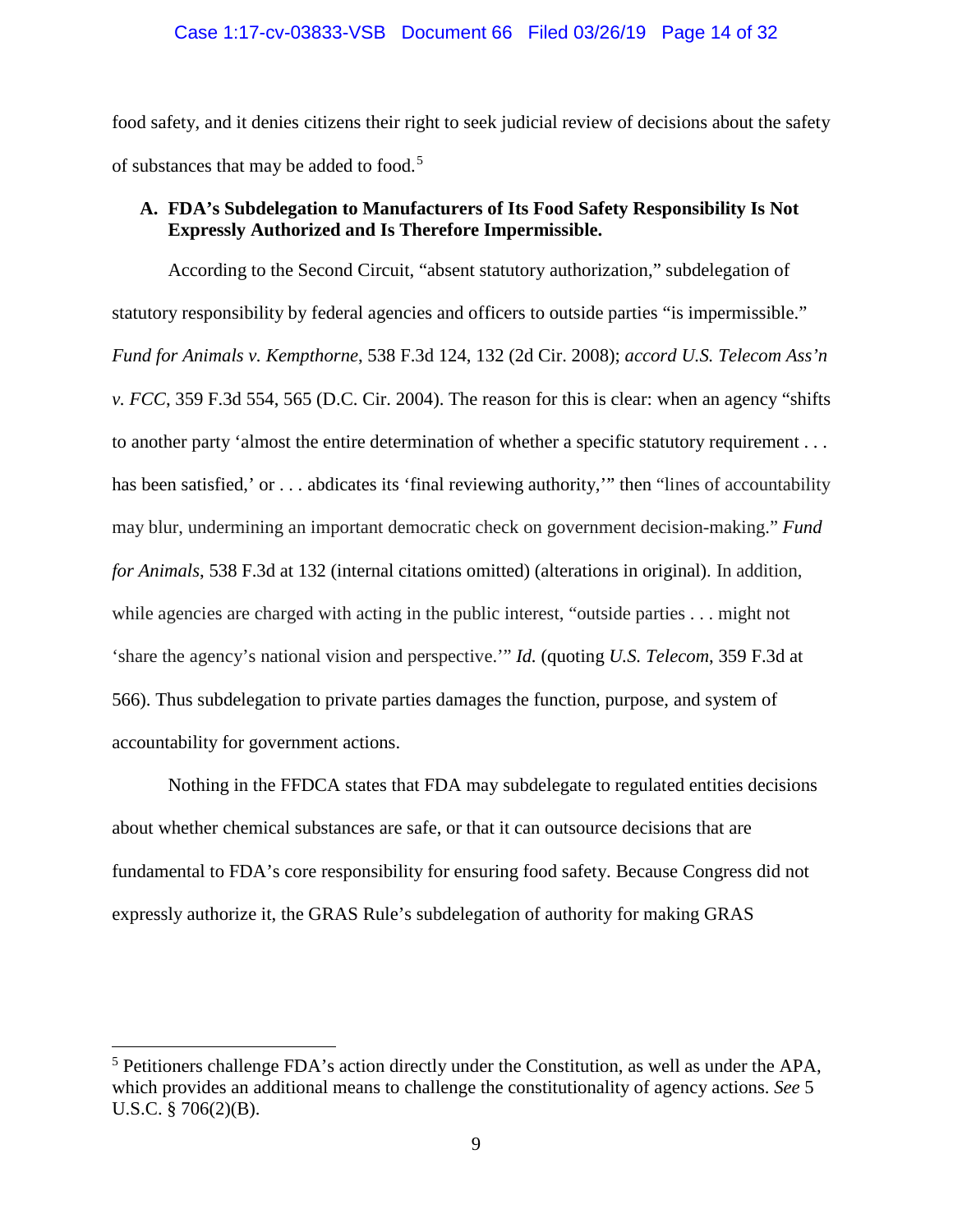food safety, and it denies citizens their right to seek judicial review of decisions about the safety of substances that may be added to food.<sup>[5](#page-13-3)</sup>

# <span id="page-13-2"></span><span id="page-13-0"></span>**A. FDA's Subdelegation to Manufacturers of Its Food Safety Responsibility Is Not Expressly Authorized and Is Therefore Impermissible.**

<span id="page-13-1"></span>According to the Second Circuit, "absent statutory authorization," subdelegation of statutory responsibility by federal agencies and officers to outside parties "is impermissible." *Fund for Animals v. Kempthorne*, 538 F.3d 124, 132 (2d Cir. 2008); *accord U.S. Telecom Ass'n v. FCC*, 359 F.3d 554, 565 (D.C. Cir. 2004). The reason for this is clear: when an agency "shifts to another party 'almost the entire determination of whether a specific statutory requirement . . . has been satisfied,' or . . . abdicates its 'final reviewing authority,'" then "lines of accountability may blur, undermining an important democratic check on government decision-making." *Fund for Animals*, 538 F.3d at 132 (internal citations omitted) (alterations in original). In addition, while agencies are charged with acting in the public interest, "outside parties . . . might not 'share the agency's national vision and perspective.'" *Id.* (quoting *U.S. Telecom*, 359 F.3d at 566). Thus subdelegation to private parties damages the function, purpose, and system of accountability for government actions.

Nothing in the FFDCA states that FDA may subdelegate to regulated entities decisions about whether chemical substances are safe, or that it can outsource decisions that are fundamental to FDA's core responsibility for ensuring food safety. Because Congress did not expressly authorize it, the GRAS Rule's subdelegation of authority for making GRAS

l

<span id="page-13-3"></span><sup>5</sup> Petitioners challenge FDA's action directly under the Constitution, as well as under the APA, which provides an additional means to challenge the constitutionality of agency actions. *See* 5 U.S.C. § 706(2)(B).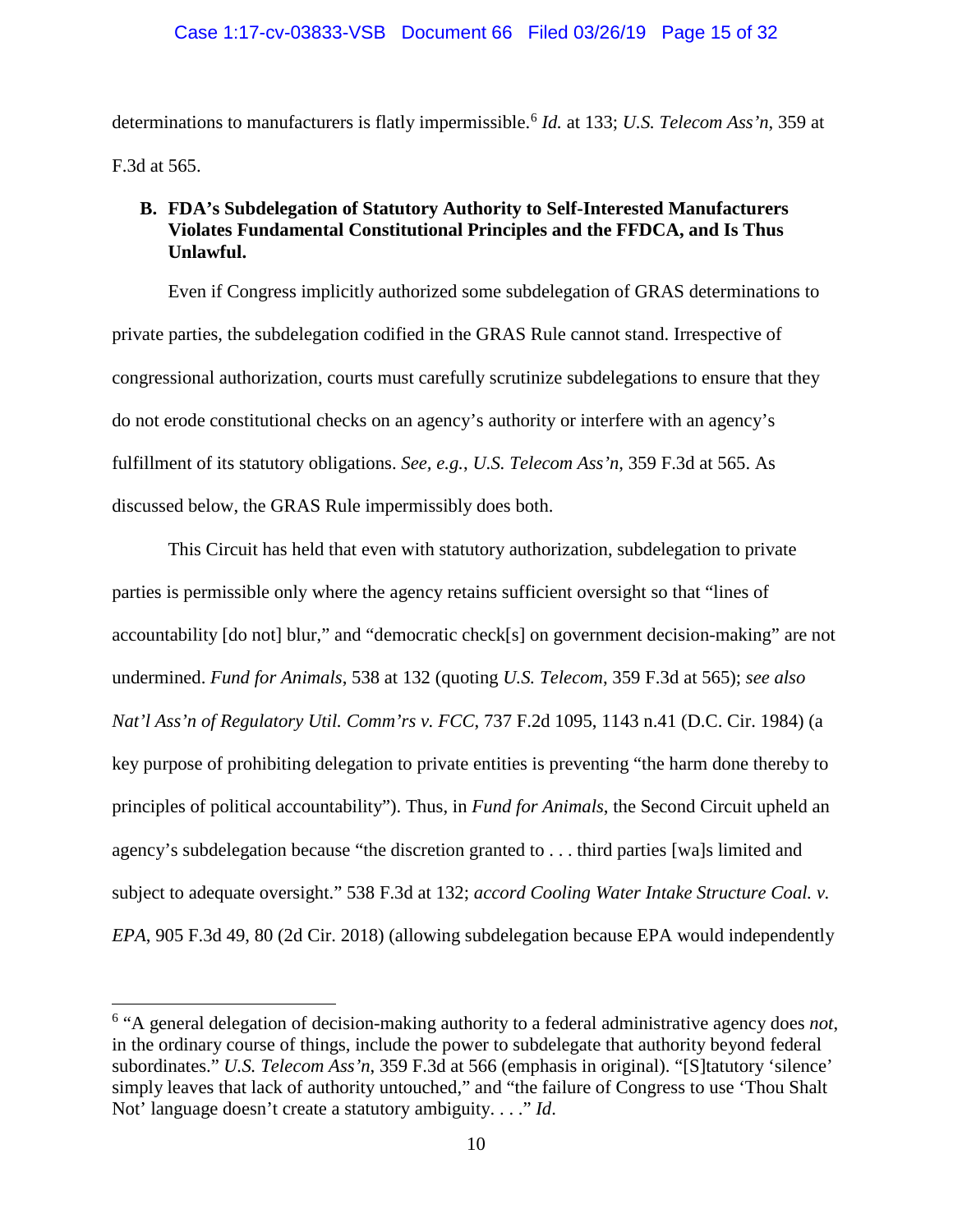determinations to manufacturers is flatly impermissible.[6](#page-14-5) *Id.* at 133; *U.S. Telecom Ass'n*, 359 at F.3d at 565.

# <span id="page-14-2"></span><span id="page-14-0"></span>**B. FDA's Subdelegation of Statutory Authority to Self-Interested Manufacturers Violates Fundamental Constitutional Principles and the FFDCA, and Is Thus Unlawful.**

Even if Congress implicitly authorized some subdelegation of GRAS determinations to private parties, the subdelegation codified in the GRAS Rule cannot stand. Irrespective of congressional authorization, courts must carefully scrutinize subdelegations to ensure that they do not erode constitutional checks on an agency's authority or interfere with an agency's fulfillment of its statutory obligations. *See, e.g.*, *U.S. Telecom Ass'n*, 359 F.3d at 565. As discussed below, the GRAS Rule impermissibly does both.

<span id="page-14-3"></span>This Circuit has held that even with statutory authorization, subdelegation to private parties is permissible only where the agency retains sufficient oversight so that "lines of accountability [do not] blur," and "democratic check[s] on government decision-making" are not undermined. *Fund for Animals*, 538 at 132 (quoting *U.S. Telecom*, 359 F.3d at 565); *see also Nat'l Ass'n of Regulatory Util. Comm'rs v. FCC*, 737 F.2d 1095, 1143 n.41 (D.C. Cir. 1984) (a key purpose of prohibiting delegation to private entities is preventing "the harm done thereby to principles of political accountability"). Thus, in *Fund for Animals*, the Second Circuit upheld an agency's subdelegation because "the discretion granted to . . . third parties [wa]s limited and subject to adequate oversight." 538 F.3d at 132; *accord Cooling Water Intake Structure Coal. v. EPA*, 905 F.3d 49, 80 (2d Cir. 2018) (allowing subdelegation because EPA would independently

<span id="page-14-1"></span> $\overline{\phantom{a}}$ 

<span id="page-14-5"></span><span id="page-14-4"></span><sup>6</sup> "A general delegation of decision-making authority to a federal administrative agency does *not*, in the ordinary course of things, include the power to subdelegate that authority beyond federal subordinates." *U.S. Telecom Ass'n*, 359 F.3d at 566 (emphasis in original). "[S]tatutory 'silence' simply leaves that lack of authority untouched," and "the failure of Congress to use 'Thou Shalt Not' language doesn't create a statutory ambiguity. . . ." *Id*.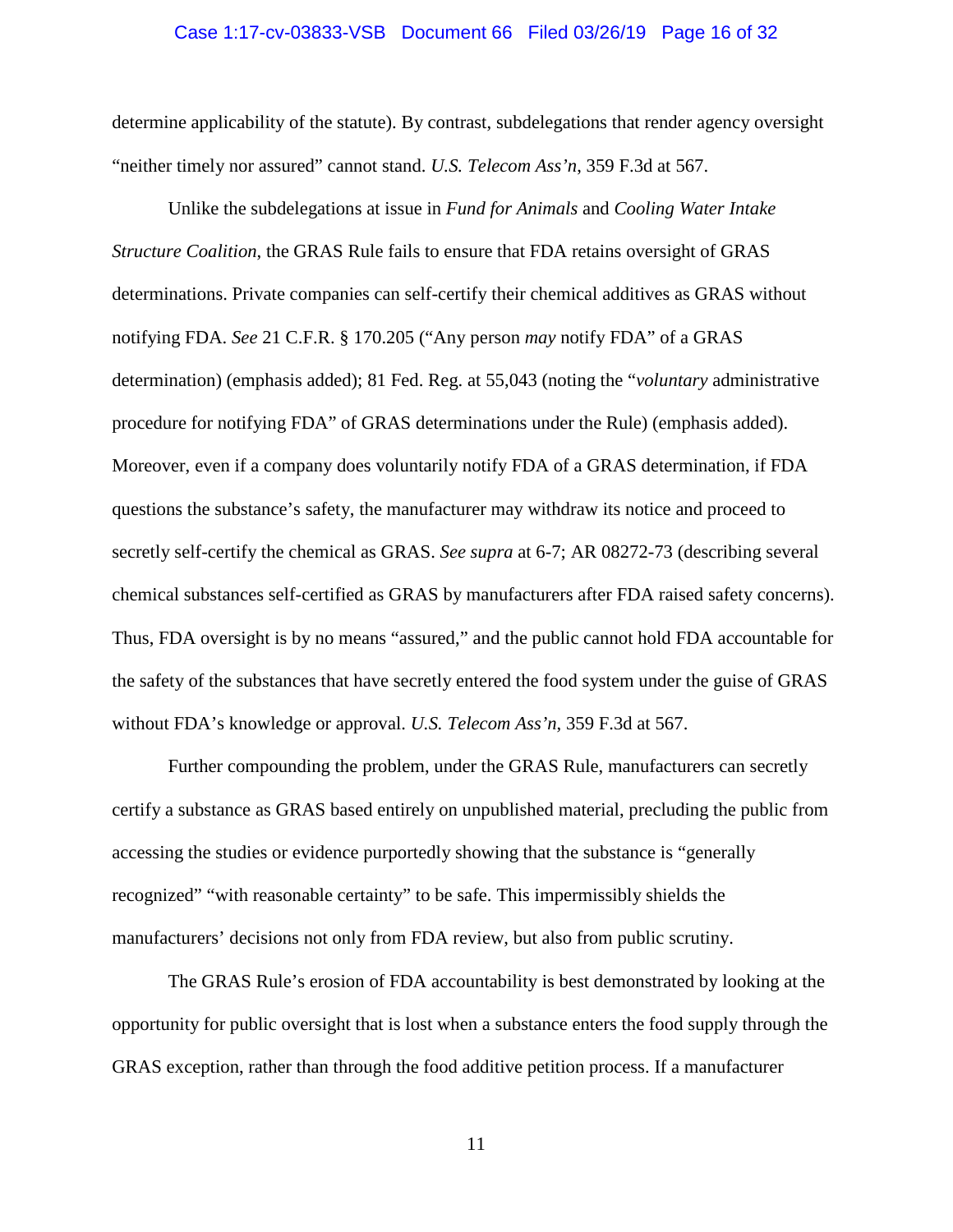#### <span id="page-15-0"></span>Case 1:17-cv-03833-VSB Document 66 Filed 03/26/19 Page 16 of 32

determine applicability of the statute). By contrast, subdelegations that render agency oversight "neither timely nor assured" cannot stand. *U.S. Telecom Ass'n*, 359 F.3d at 567.

<span id="page-15-1"></span>Unlike the subdelegations at issue in *Fund for Animals* and *Cooling Water Intake Structure Coalition*, the GRAS Rule fails to ensure that FDA retains oversight of GRAS determinations. Private companies can self-certify their chemical additives as GRAS without notifying FDA. *See* 21 C.F.R. § 170.205 ("Any person *may* notify FDA" of a GRAS determination) (emphasis added); 81 Fed. Reg. at 55,043 (noting the "*voluntary* administrative procedure for notifying FDA" of GRAS determinations under the Rule) (emphasis added). Moreover, even if a company does voluntarily notify FDA of a GRAS determination, if FDA questions the substance's safety, the manufacturer may withdraw its notice and proceed to secretly self-certify the chemical as GRAS. *See supra* at 6-7; AR 08272-73 (describing several chemical substances self-certified as GRAS by manufacturers after FDA raised safety concerns). Thus, FDA oversight is by no means "assured," and the public cannot hold FDA accountable for the safety of the substances that have secretly entered the food system under the guise of GRAS without FDA's knowledge or approval. *U.S. Telecom Ass'n*, 359 F.3d at 567.

Further compounding the problem, under the GRAS Rule, manufacturers can secretly certify a substance as GRAS based entirely on unpublished material, precluding the public from accessing the studies or evidence purportedly showing that the substance is "generally recognized" "with reasonable certainty" to be safe. This impermissibly shields the manufacturers' decisions not only from FDA review, but also from public scrutiny.

The GRAS Rule's erosion of FDA accountability is best demonstrated by looking at the opportunity for public oversight that is lost when a substance enters the food supply through the GRAS exception, rather than through the food additive petition process. If a manufacturer

11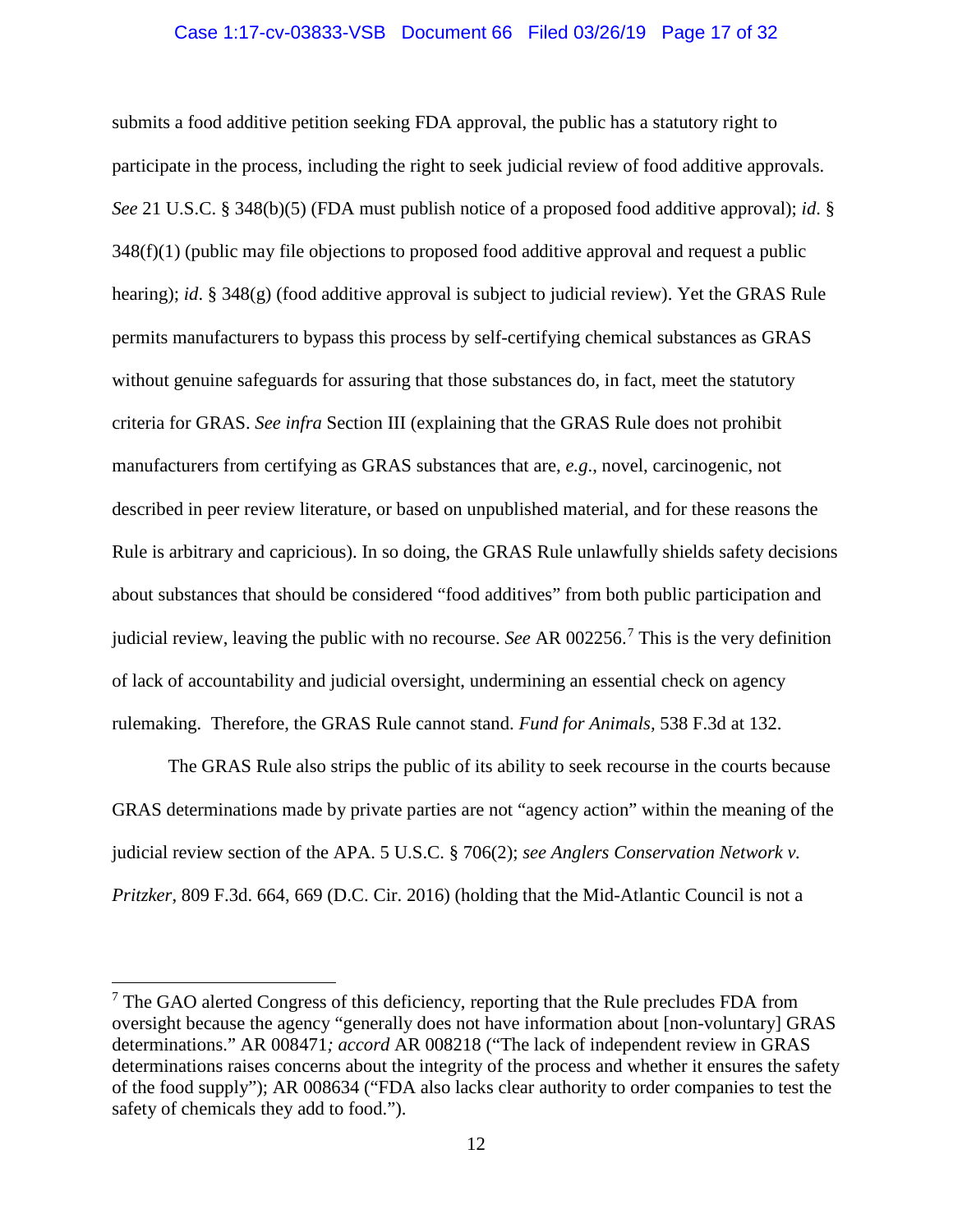#### Case 1:17-cv-03833-VSB Document 66 Filed 03/26/19 Page 17 of 32

<span id="page-16-3"></span>submits a food additive petition seeking FDA approval, the public has a statutory right to participate in the process, including the right to seek judicial review of food additive approvals. *See* 21 U.S.C. § 348(b)(5) (FDA must publish notice of a proposed food additive approval); *id*. §  $348(f)(1)$  (public may file objections to proposed food additive approval and request a public hearing); *id*. § 348(g) (food additive approval is subject to judicial review). Yet the GRAS Rule permits manufacturers to bypass this process by self-certifying chemical substances as GRAS without genuine safeguards for assuring that those substances do, in fact, meet the statutory criteria for GRAS. *See infra* Section III (explaining that the GRAS Rule does not prohibit manufacturers from certifying as GRAS substances that are, *e.g*., novel, carcinogenic, not described in peer review literature, or based on unpublished material, and for these reasons the Rule is arbitrary and capricious). In so doing, the GRAS Rule unlawfully shields safety decisions about substances that should be considered "food additives" from both public participation and judicial review, leaving the public with no recourse. *See* AR 002256.[7](#page-16-4) This is the very definition of lack of accountability and judicial oversight, undermining an essential check on agency rulemaking. Therefore, the GRAS Rule cannot stand. *Fund for Animals,* 538 F.3d at 132.

<span id="page-16-2"></span><span id="page-16-1"></span><span id="page-16-0"></span>The GRAS Rule also strips the public of its ability to seek recourse in the courts because GRAS determinations made by private parties are not "agency action" within the meaning of the judicial review section of the APA. 5 U.S.C. § 706(2); *see Anglers Conservation Network v. Pritzker*, 809 F.3d. 664, 669 (D.C. Cir. 2016) (holding that the Mid-Atlantic Council is not a

 $\overline{\phantom{a}}$ 

<span id="page-16-4"></span> $<sup>7</sup>$  The GAO alerted Congress of this deficiency, reporting that the Rule precludes FDA from</sup> oversight because the agency "generally does not have information about [non-voluntary] GRAS determinations." AR 008471*; accord* AR 008218 ("The lack of independent review in GRAS determinations raises concerns about the integrity of the process and whether it ensures the safety of the food supply"); AR 008634 ("FDA also lacks clear authority to order companies to test the safety of chemicals they add to food.").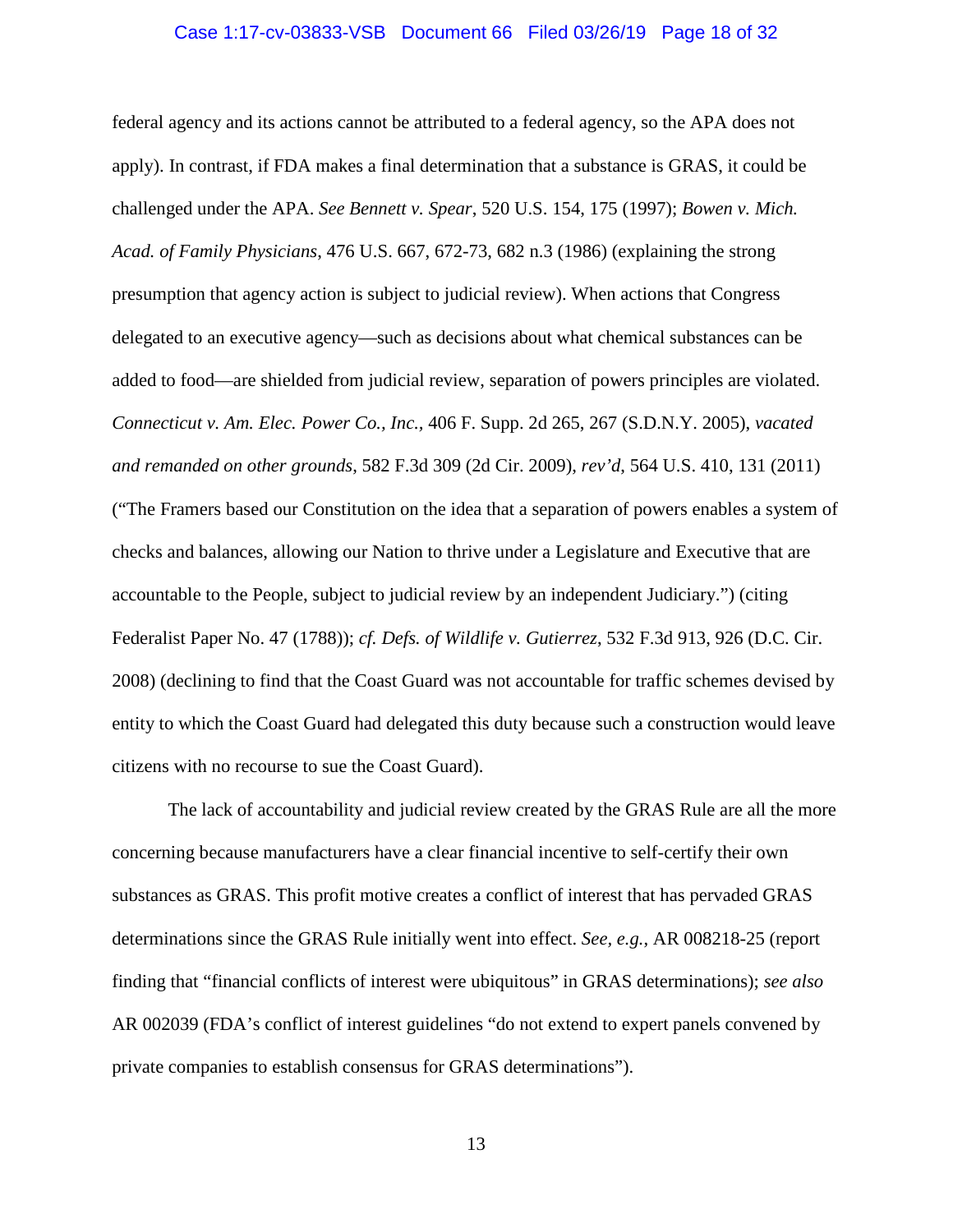#### <span id="page-17-1"></span><span id="page-17-0"></span>Case 1:17-cv-03833-VSB Document 66 Filed 03/26/19 Page 18 of 32

<span id="page-17-2"></span>federal agency and its actions cannot be attributed to a federal agency, so the APA does not apply). In contrast, if FDA makes a final determination that a substance is GRAS, it could be challenged under the APA. *See Bennett v. Spear*, 520 U.S. 154, 175 (1997); *Bowen v. Mich. Acad. of Family Physicians*, 476 U.S. 667, 672-73, 682 n.3 (1986) (explaining the strong presumption that agency action is subject to judicial review). When actions that Congress delegated to an executive agency—such as decisions about what chemical substances can be added to food—are shielded from judicial review, separation of powers principles are violated. *Connecticut v. Am. Elec. Power Co., Inc.,* 406 F. Supp. 2d 265, 267 (S.D.N.Y. 2005), *vacated and remanded on other grounds*, 582 F.3d 309 (2d Cir. 2009), *rev'd*, 564 U.S. 410, 131 (2011) ("The Framers based our Constitution on the idea that a separation of powers enables a system of checks and balances, allowing our Nation to thrive under a Legislature and Executive that are accountable to the People, subject to judicial review by an independent Judiciary.") (citing Federalist Paper No. 47 (1788)); *cf. Defs. of Wildlife v. Gutierrez*, 532 F.3d 913, 926 (D.C. Cir. 2008) (declining to find that the Coast Guard was not accountable for traffic schemes devised by entity to which the Coast Guard had delegated this duty because such a construction would leave citizens with no recourse to sue the Coast Guard).

<span id="page-17-3"></span>The lack of accountability and judicial review created by the GRAS Rule are all the more concerning because manufacturers have a clear financial incentive to self-certify their own substances as GRAS. This profit motive creates a conflict of interest that has pervaded GRAS determinations since the GRAS Rule initially went into effect. *See, e.g.*, AR 008218-25 (report finding that "financial conflicts of interest were ubiquitous" in GRAS determinations); *see also* AR 002039 (FDA's conflict of interest guidelines "do not extend to expert panels convened by private companies to establish consensus for GRAS determinations").

13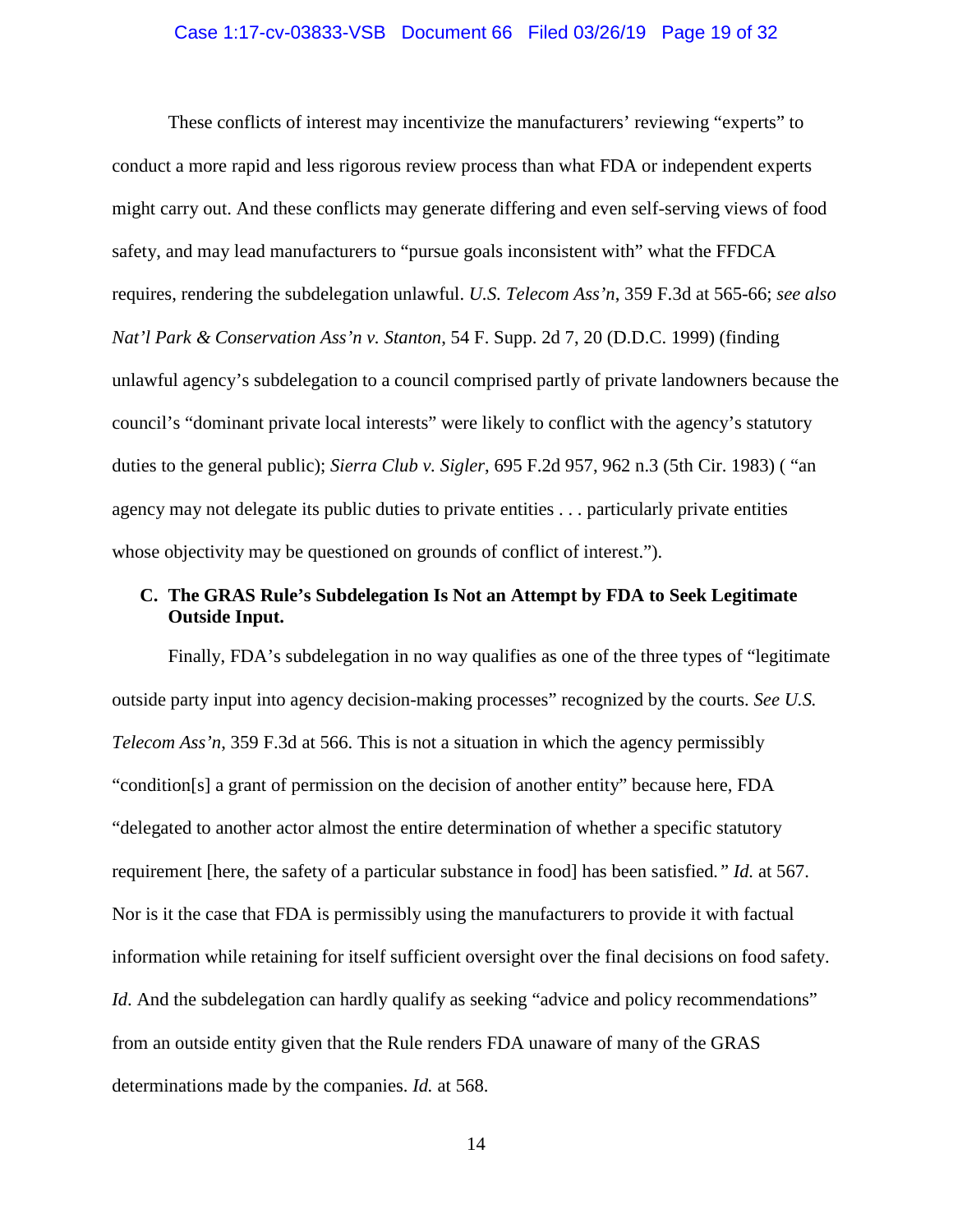#### <span id="page-18-3"></span>Case 1:17-cv-03833-VSB Document 66 Filed 03/26/19 Page 19 of 32

<span id="page-18-1"></span>These conflicts of interest may incentivize the manufacturers' reviewing "experts" to conduct a more rapid and less rigorous review process than what FDA or independent experts might carry out. And these conflicts may generate differing and even self-serving views of food safety, and may lead manufacturers to "pursue goals inconsistent with" what the FFDCA requires, rendering the subdelegation unlawful. *U.S. Telecom Ass'n*, 359 F.3d at 565-66; *see also Nat'l Park & Conservation Ass'n v. Stanton*, 54 F. Supp. 2d 7, 20 (D.D.C. 1999) (finding unlawful agency's subdelegation to a council comprised partly of private landowners because the council's "dominant private local interests" were likely to conflict with the agency's statutory duties to the general public); *Sierra Club v. Sigler*, 695 F.2d 957, 962 n.3 (5th Cir. 1983) ( "an agency may not delegate its public duties to private entities . . . particularly private entities whose objectivity may be questioned on grounds of conflict of interest.").

# <span id="page-18-2"></span><span id="page-18-0"></span>**C. The GRAS Rule's Subdelegation Is Not an Attempt by FDA to Seek Legitimate Outside Input.**

Finally, FDA's subdelegation in no way qualifies as one of the three types of "legitimate outside party input into agency decision-making processes" recognized by the courts. *See U.S. Telecom Ass'n*, 359 F.3d at 566. This is not a situation in which the agency permissibly "condition[s] a grant of permission on the decision of another entity" because here, FDA "delegated to another actor almost the entire determination of whether a specific statutory requirement [here, the safety of a particular substance in food] has been satisfied*." Id.* at 567. Nor is it the case that FDA is permissibly using the manufacturers to provide it with factual information while retaining for itself sufficient oversight over the final decisions on food safety. *Id*. And the subdelegation can hardly qualify as seeking "advice and policy recommendations" from an outside entity given that the Rule renders FDA unaware of many of the GRAS determinations made by the companies. *Id.* at 568.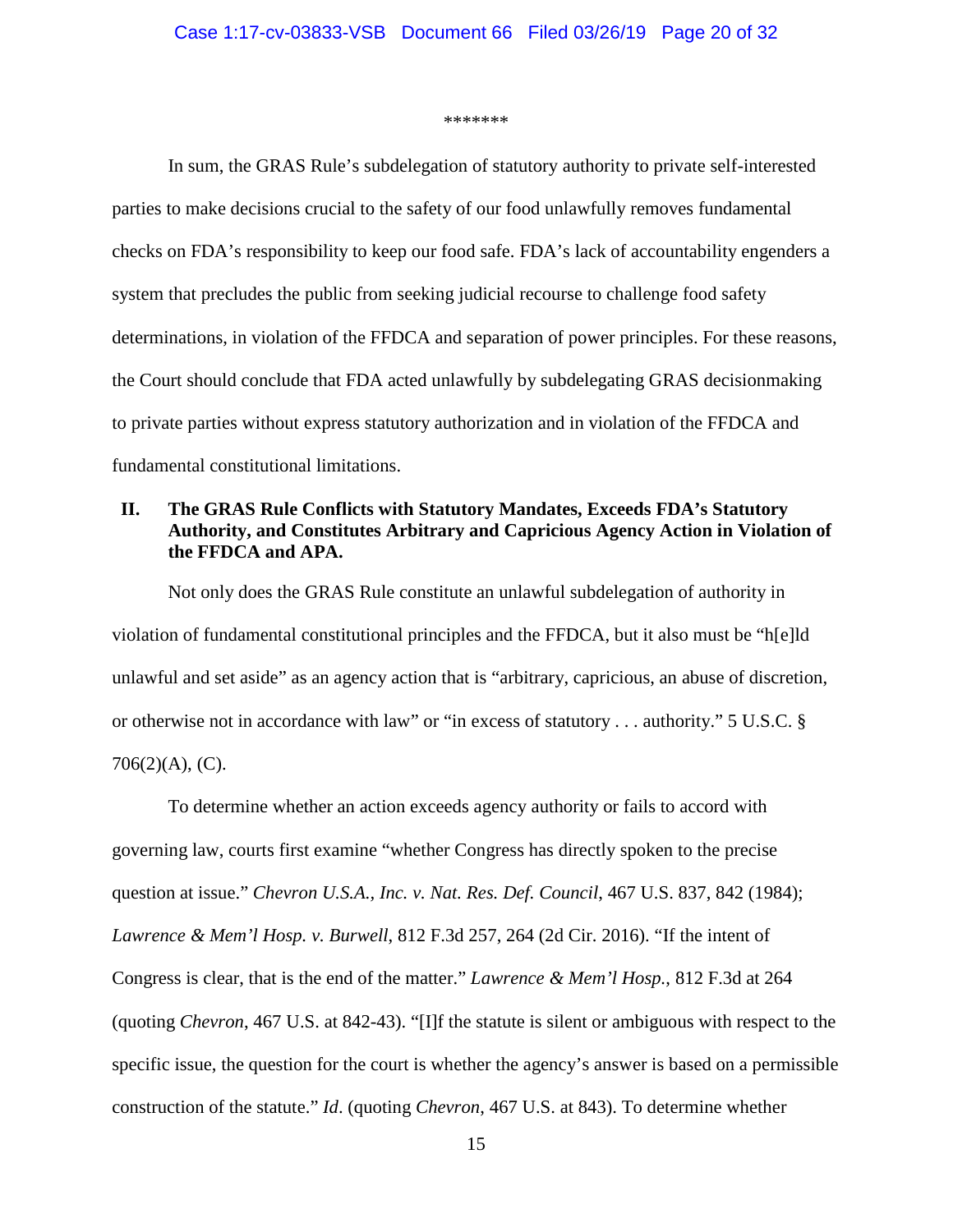#### \*\*\*\*\*\*\*

In sum, the GRAS Rule's subdelegation of statutory authority to private self-interested parties to make decisions crucial to the safety of our food unlawfully removes fundamental checks on FDA's responsibility to keep our food safe. FDA's lack of accountability engenders a system that precludes the public from seeking judicial recourse to challenge food safety determinations, in violation of the FFDCA and separation of power principles. For these reasons, the Court should conclude that FDA acted unlawfully by subdelegating GRAS decisionmaking to private parties without express statutory authorization and in violation of the FFDCA and fundamental constitutional limitations.

# <span id="page-19-0"></span>**II. The GRAS Rule Conflicts with Statutory Mandates, Exceeds FDA's Statutory Authority, and Constitutes Arbitrary and Capricious Agency Action in Violation of the FFDCA and APA.**

Not only does the GRAS Rule constitute an unlawful subdelegation of authority in violation of fundamental constitutional principles and the FFDCA, but it also must be "h[e]ld unlawful and set aside" as an agency action that is "arbitrary, capricious, an abuse of discretion, or otherwise not in accordance with law" or "in excess of statutory . . . authority." 5 U.S.C. § 706(2)(A), (C).

<span id="page-19-2"></span><span id="page-19-1"></span>To determine whether an action exceeds agency authority or fails to accord with governing law, courts first examine "whether Congress has directly spoken to the precise question at issue." *Chevron U.S.A., Inc. v. Nat. Res. Def. Council*, 467 U.S. 837, 842 (1984); *Lawrence & Mem'l Hosp. v. Burwell*, 812 F.3d 257, 264 (2d Cir. 2016). "If the intent of Congress is clear, that is the end of the matter." *Lawrence & Mem'l Hosp.*, 812 F.3d at 264 (quoting *Chevron*, 467 U.S. at 842-43). "[I]f the statute is silent or ambiguous with respect to the specific issue, the question for the court is whether the agency's answer is based on a permissible construction of the statute." *Id*. (quoting *Chevron*, 467 U.S. at 843). To determine whether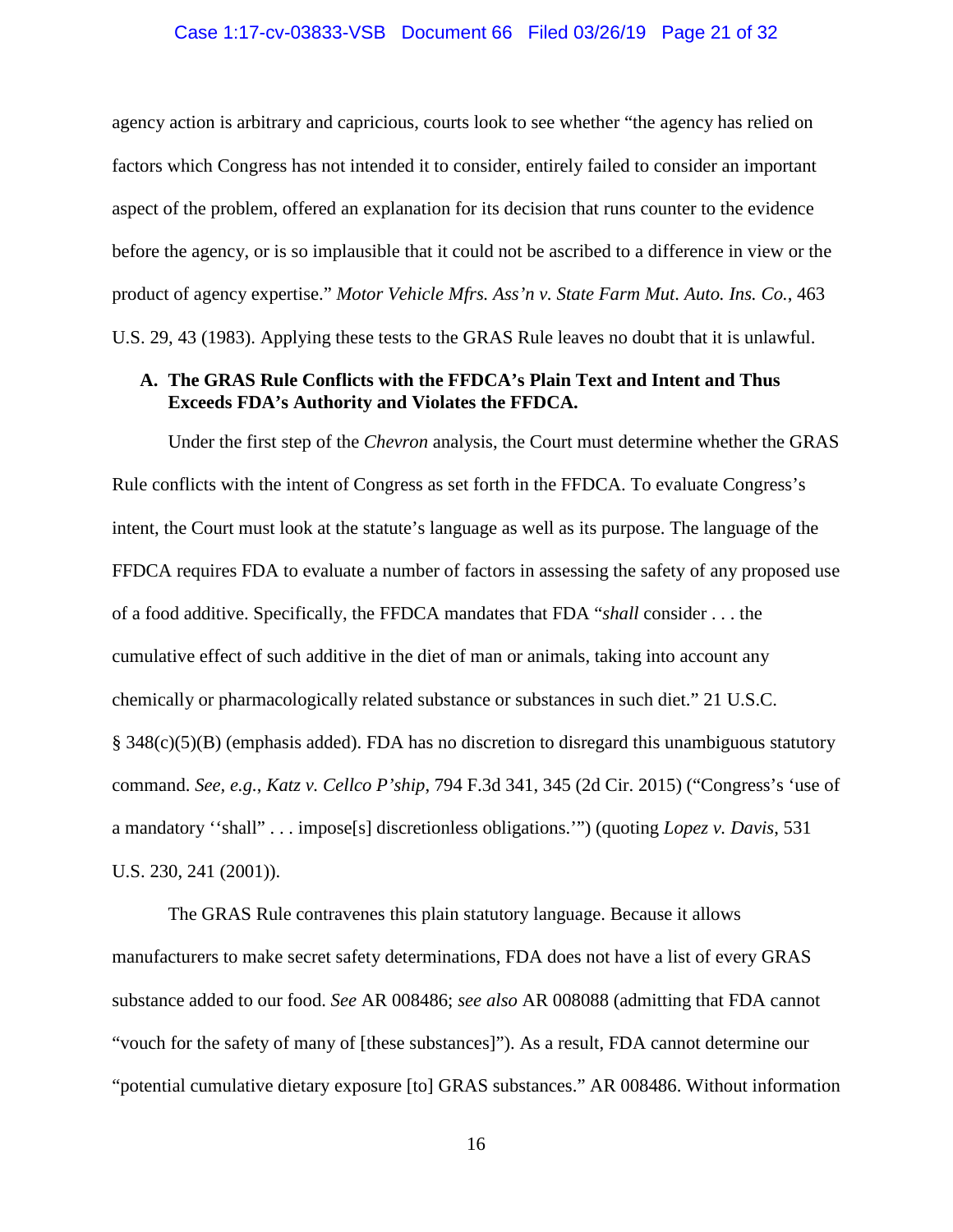#### Case 1:17-cv-03833-VSB Document 66 Filed 03/26/19 Page 21 of 32

agency action is arbitrary and capricious, courts look to see whether "the agency has relied on factors which Congress has not intended it to consider, entirely failed to consider an important aspect of the problem, offered an explanation for its decision that runs counter to the evidence before the agency, or is so implausible that it could not be ascribed to a difference in view or the product of agency expertise." *Motor Vehicle Mfrs. Ass'n v. State Farm Mut. Auto. Ins. Co.*, 463 U.S. 29, 43 (1983). Applying these tests to the GRAS Rule leaves no doubt that it is unlawful.

### <span id="page-20-2"></span><span id="page-20-0"></span>**A. The GRAS Rule Conflicts with the FFDCA's Plain Text and Intent and Thus Exceeds FDA's Authority and Violates the FFDCA.**

Under the first step of the *Chevron* analysis, the Court must determine whether the GRAS Rule conflicts with the intent of Congress as set forth in the FFDCA. To evaluate Congress's intent, the Court must look at the statute's language as well as its purpose. The language of the FFDCA requires FDA to evaluate a number of factors in assessing the safety of any proposed use of a food additive. Specifically, the FFDCA mandates that FDA "*shall* consider . . . the cumulative effect of such additive in the diet of man or animals, taking into account any chemically or pharmacologically related substance or substances in such diet." 21 U.S.C. § 348(c)(5)(B) (emphasis added). FDA has no discretion to disregard this unambiguous statutory command. *See, e.g.*, *Katz v. Cellco P'ship*, 794 F.3d 341, 345 (2d Cir. 2015) ("Congress's 'use of a mandatory ''shall" . . . impose[s] discretionless obligations.'") (quoting *Lopez v. Davis*, 531 U.S. 230, 241 (2001)).

<span id="page-20-3"></span><span id="page-20-1"></span>The GRAS Rule contravenes this plain statutory language. Because it allows manufacturers to make secret safety determinations, FDA does not have a list of every GRAS substance added to our food. *See* AR 008486; *see also* AR 008088 (admitting that FDA cannot "vouch for the safety of many of [these substances]"). As a result, FDA cannot determine our "potential cumulative dietary exposure [to] GRAS substances." AR 008486. Without information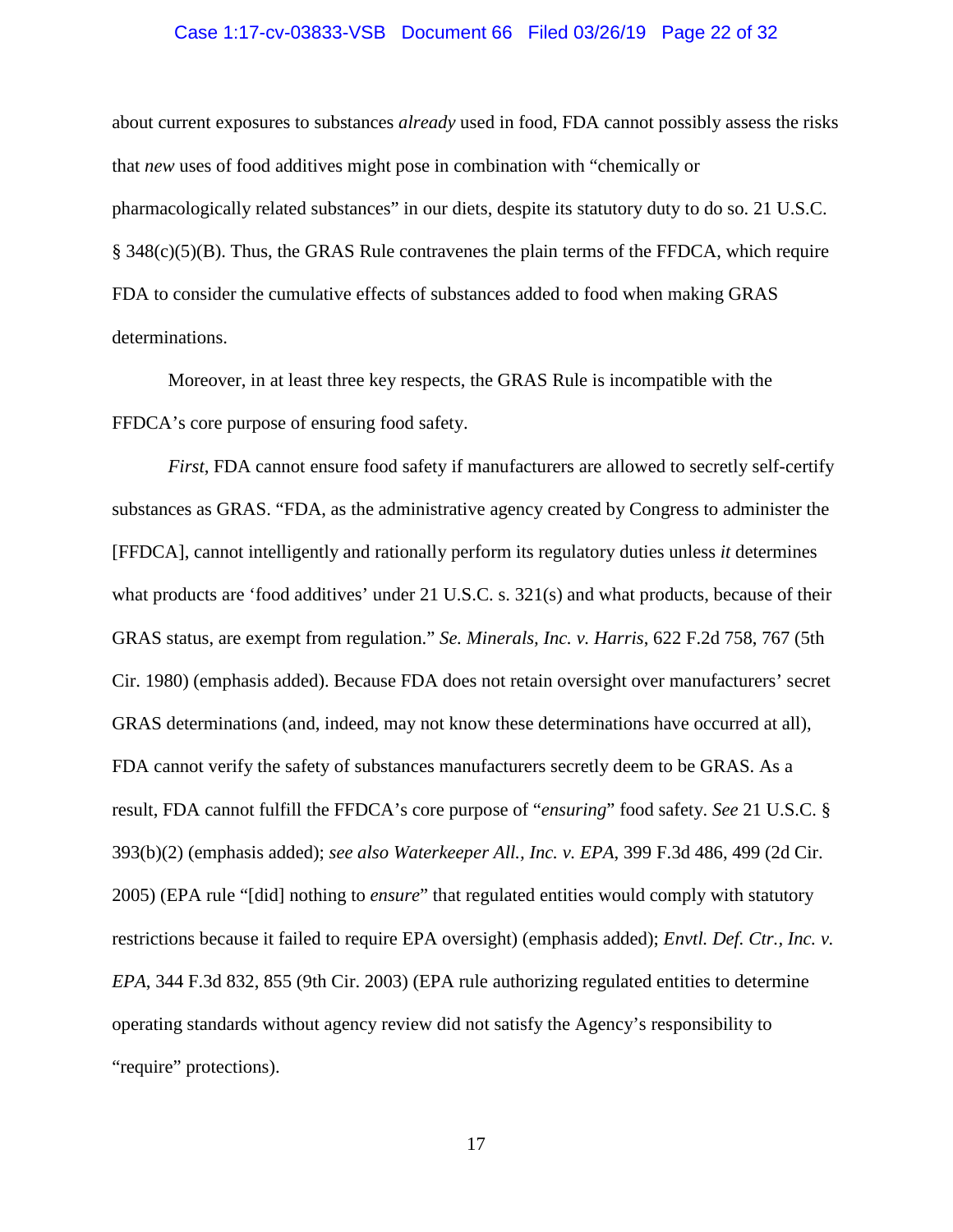#### <span id="page-21-4"></span>Case 1:17-cv-03833-VSB Document 66 Filed 03/26/19 Page 22 of 32

about current exposures to substances *already* used in food, FDA cannot possibly assess the risks that *new* uses of food additives might pose in combination with "chemically or pharmacologically related substances" in our diets, despite its statutory duty to do so. 21 U.S.C. § 348(c)(5)(B). Thus, the GRAS Rule contravenes the plain terms of the FFDCA, which require FDA to consider the cumulative effects of substances added to food when making GRAS determinations.

Moreover, in at least three key respects, the GRAS Rule is incompatible with the FFDCA's core purpose of ensuring food safety.

<span id="page-21-5"></span><span id="page-21-3"></span><span id="page-21-2"></span><span id="page-21-1"></span><span id="page-21-0"></span>*First*, FDA cannot ensure food safety if manufacturers are allowed to secretly self-certify substances as GRAS. "FDA, as the administrative agency created by Congress to administer the [FFDCA], cannot intelligently and rationally perform its regulatory duties unless *it* determines what products are 'food additives' under 21 U.S.C. s. 321(s) and what products, because of their GRAS status, are exempt from regulation." *Se. Minerals, Inc. v. Harris*, 622 F.2d 758, 767 (5th Cir. 1980) (emphasis added). Because FDA does not retain oversight over manufacturers' secret GRAS determinations (and, indeed, may not know these determinations have occurred at all), FDA cannot verify the safety of substances manufacturers secretly deem to be GRAS. As a result, FDA cannot fulfill the FFDCA's core purpose of "*ensuring*" food safety. *See* 21 U.S.C. § 393(b)(2) (emphasis added); *see also Waterkeeper All., Inc. v. EPA*, 399 F.3d 486, 499 (2d Cir. 2005) (EPA rule "[did] nothing to *ensure*" that regulated entities would comply with statutory restrictions because it failed to require EPA oversight) (emphasis added); *Envtl. Def. Ctr., Inc. v. EPA*, 344 F.3d 832, 855 (9th Cir. 2003) (EPA rule authorizing regulated entities to determine operating standards without agency review did not satisfy the Agency's responsibility to "require" protections).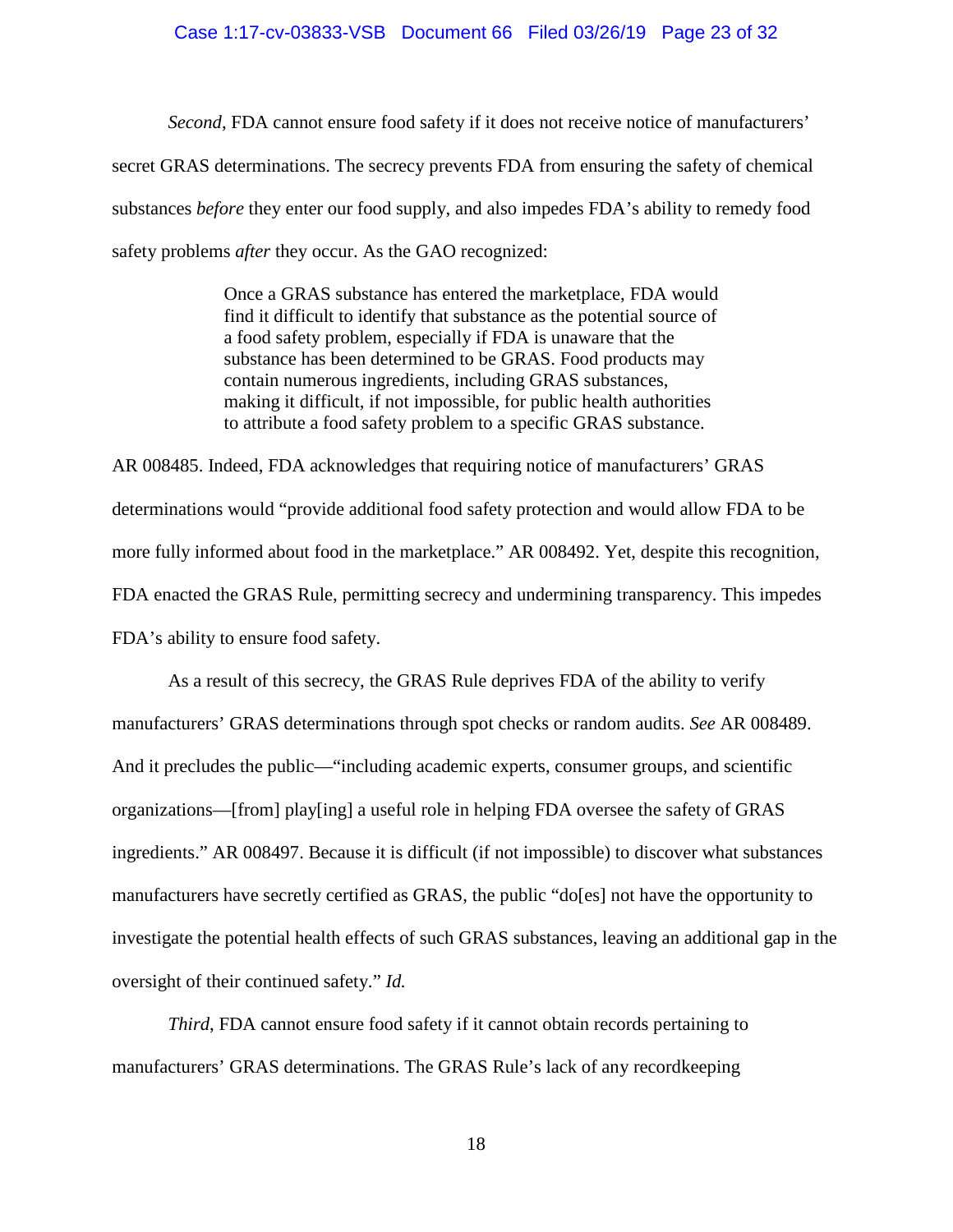#### Case 1:17-cv-03833-VSB Document 66 Filed 03/26/19 Page 23 of 32

*Second*, FDA cannot ensure food safety if it does not receive notice of manufacturers' secret GRAS determinations. The secrecy prevents FDA from ensuring the safety of chemical substances *before* they enter our food supply, and also impedes FDA's ability to remedy food safety problems *after* they occur. As the GAO recognized:

> Once a GRAS substance has entered the marketplace, FDA would find it difficult to identify that substance as the potential source of a food safety problem, especially if FDA is unaware that the substance has been determined to be GRAS. Food products may contain numerous ingredients, including GRAS substances, making it difficult, if not impossible, for public health authorities to attribute a food safety problem to a specific GRAS substance.

AR 008485. Indeed, FDA acknowledges that requiring notice of manufacturers' GRAS determinations would "provide additional food safety protection and would allow FDA to be more fully informed about food in the marketplace." AR 008492. Yet, despite this recognition, FDA enacted the GRAS Rule, permitting secrecy and undermining transparency. This impedes FDA's ability to ensure food safety.

As a result of this secrecy, the GRAS Rule deprives FDA of the ability to verify manufacturers' GRAS determinations through spot checks or random audits. *See* AR 008489. And it precludes the public—"including academic experts, consumer groups, and scientific organizations—[from] play[ing] a useful role in helping FDA oversee the safety of GRAS ingredients." AR 008497. Because it is difficult (if not impossible) to discover what substances manufacturers have secretly certified as GRAS, the public "do[es] not have the opportunity to investigate the potential health effects of such GRAS substances, leaving an additional gap in the oversight of their continued safety." *Id.*

*Third*, FDA cannot ensure food safety if it cannot obtain records pertaining to manufacturers' GRAS determinations. The GRAS Rule's lack of any recordkeeping

18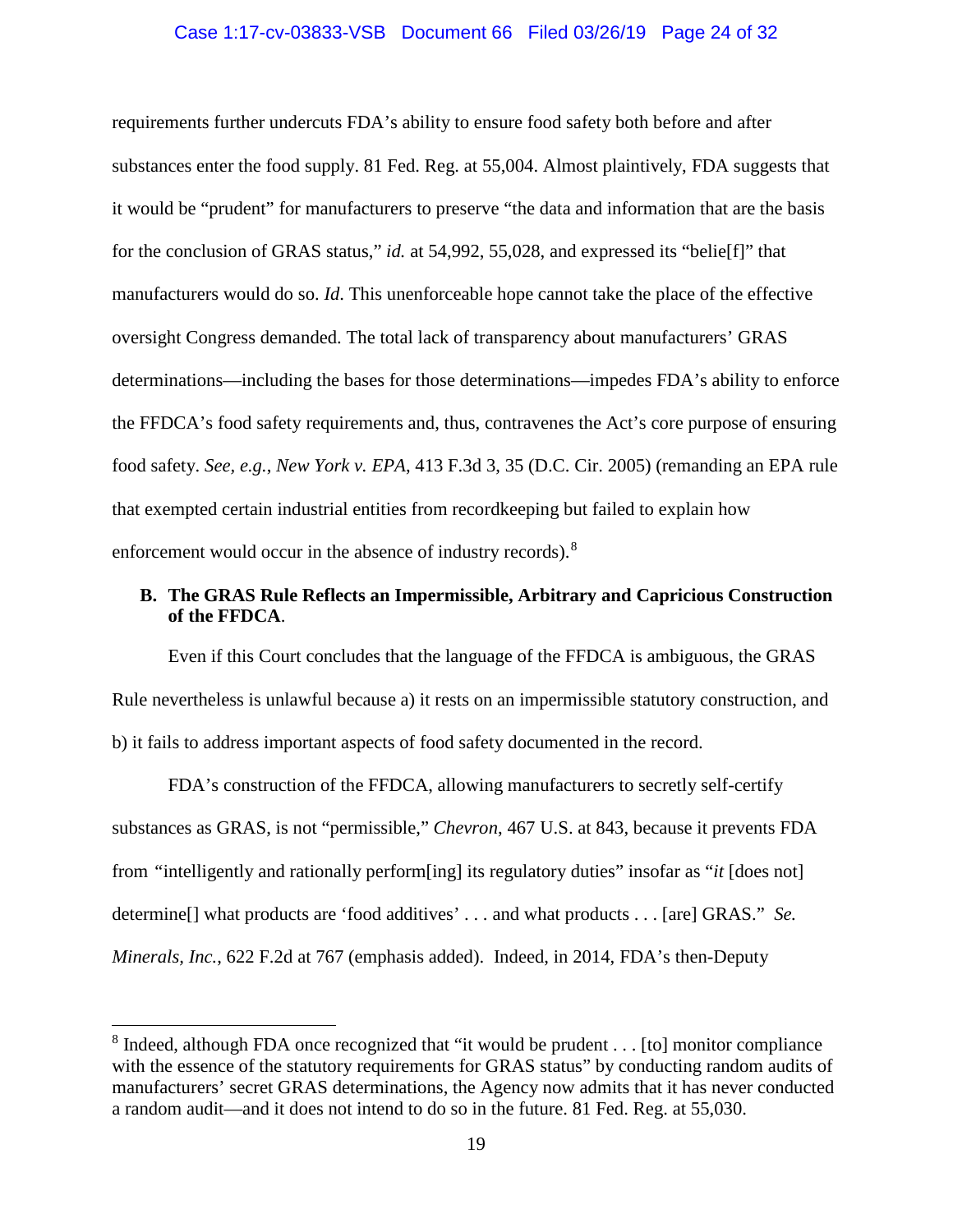#### Case 1:17-cv-03833-VSB Document 66 Filed 03/26/19 Page 24 of 32

requirements further undercuts FDA's ability to ensure food safety both before and after substances enter the food supply. 81 Fed. Reg. at 55,004. Almost plaintively, FDA suggests that it would be "prudent" for manufacturers to preserve "the data and information that are the basis for the conclusion of GRAS status," *id.* at 54,992, 55,028, and expressed its "belie[f]" that manufacturers would do so. *Id*. This unenforceable hope cannot take the place of the effective oversight Congress demanded. The total lack of transparency about manufacturers' GRAS determinations—including the bases for those determinations—impedes FDA's ability to enforce the FFDCA's food safety requirements and, thus, contravenes the Act's core purpose of ensuring food safety. *See, e.g.*, *New York v. EPA*, 413 F.3d 3, 35 (D.C. Cir. 2005) (remanding an EPA rule that exempted certain industrial entities from recordkeeping but failed to explain how enforcement would occur in the absence of industry records).<sup>[8](#page-23-4)</sup>

# <span id="page-23-2"></span><span id="page-23-0"></span>**B. The GRAS Rule Reflects an Impermissible, Arbitrary and Capricious Construction of the FFDCA**.

Even if this Court concludes that the language of the FFDCA is ambiguous, the GRAS Rule nevertheless is unlawful because a) it rests on an impermissible statutory construction, and b) it fails to address important aspects of food safety documented in the record.

<span id="page-23-1"></span>FDA's construction of the FFDCA, allowing manufacturers to secretly self-certify substances as GRAS, is not "permissible," *Chevron*, 467 U.S. at 843, because it prevents FDA from *"*intelligently and rationally perform[ing] its regulatory duties" insofar as "*it* [does not] determine[] what products are 'food additives' . . . and what products . . . [are] GRAS." *Se. Minerals, Inc.*, 622 F.2d at 767 (emphasis added). Indeed, in 2014, FDA's then-Deputy

<span id="page-23-3"></span>l

<span id="page-23-4"></span> $8$  Indeed, although FDA once recognized that "it would be prudent  $\dots$  [to] monitor compliance with the essence of the statutory requirements for GRAS status" by conducting random audits of manufacturers' secret GRAS determinations, the Agency now admits that it has never conducted a random audit—and it does not intend to do so in the future. 81 Fed. Reg. at 55,030.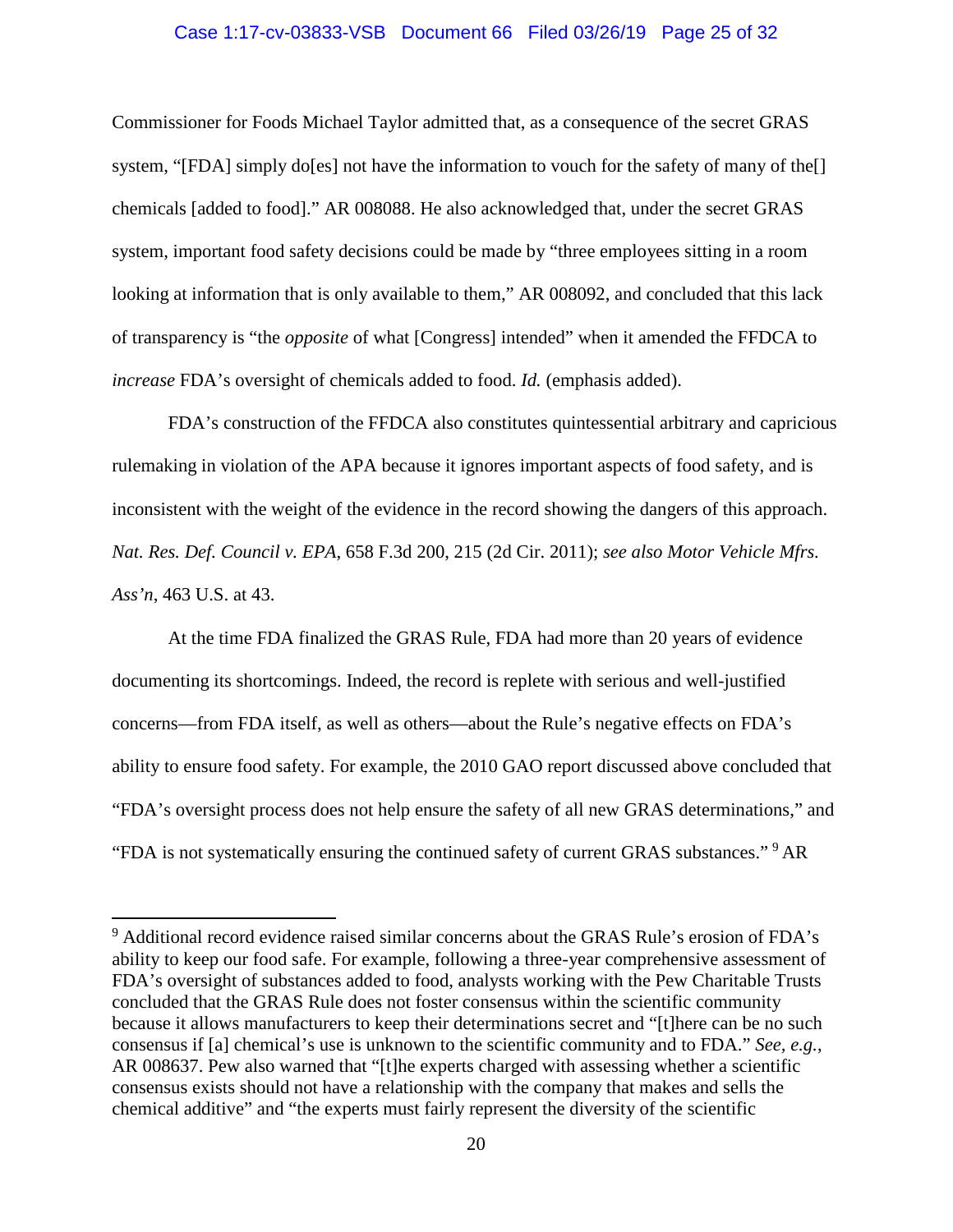#### Case 1:17-cv-03833-VSB Document 66 Filed 03/26/19 Page 25 of 32

Commissioner for Foods Michael Taylor admitted that, as a consequence of the secret GRAS system, "[FDA] simply do[es] not have the information to vouch for the safety of many of the[] chemicals [added to food]." AR 008088. He also acknowledged that, under the secret GRAS system, important food safety decisions could be made by "three employees sitting in a room looking at information that is only available to them," AR 008092, and concluded that this lack of transparency is "the *opposite* of what [Congress] intended" when it amended the FFDCA to *increase* FDA's oversight of chemicals added to food. *Id.* (emphasis added).

FDA's construction of the FFDCA also constitutes quintessential arbitrary and capricious rulemaking in violation of the APA because it ignores important aspects of food safety, and is inconsistent with the weight of the evidence in the record showing the dangers of this approach. *Nat. Res. Def. Council v. EPA*, 658 F.3d 200, 215 (2d Cir. 2011); *see also Motor Vehicle Mfrs. Ass'n*, 463 U.S. at 43.

<span id="page-24-1"></span><span id="page-24-0"></span>At the time FDA finalized the GRAS Rule, FDA had more than 20 years of evidence documenting its shortcomings. Indeed, the record is replete with serious and well-justified concerns—from FDA itself, as well as others—about the Rule's negative effects on FDA's ability to ensure food safety. For example, the 2010 GAO report discussed above concluded that "FDA's oversight process does not help ensure the safety of all new GRAS determinations," and "FDA is not systematically ensuring the continued safety of current GRAS substances." [9](#page-24-2) AR

l

<span id="page-24-2"></span><sup>9</sup> Additional record evidence raised similar concerns about the GRAS Rule's erosion of FDA's ability to keep our food safe. For example, following a three-year comprehensive assessment of FDA's oversight of substances added to food, analysts working with the Pew Charitable Trusts concluded that the GRAS Rule does not foster consensus within the scientific community because it allows manufacturers to keep their determinations secret and "[t]here can be no such consensus if [a] chemical's use is unknown to the scientific community and to FDA." *See, e.g.*, AR 008637. Pew also warned that "[t]he experts charged with assessing whether a scientific consensus exists should not have a relationship with the company that makes and sells the chemical additive" and "the experts must fairly represent the diversity of the scientific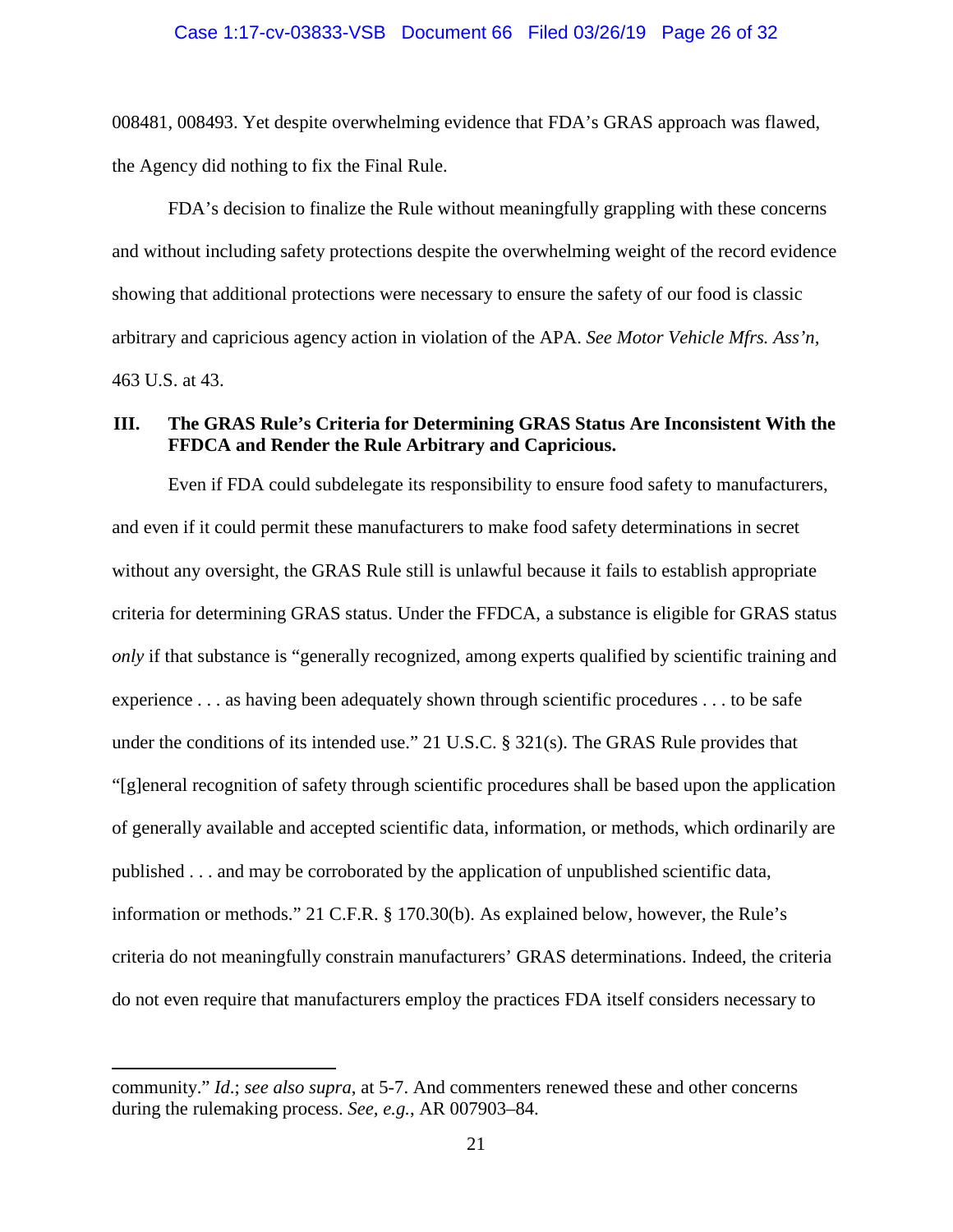008481, 008493. Yet despite overwhelming evidence that FDA's GRAS approach was flawed, the Agency did nothing to fix the Final Rule.

FDA's decision to finalize the Rule without meaningfully grappling with these concerns and without including safety protections despite the overwhelming weight of the record evidence showing that additional protections were necessary to ensure the safety of our food is classic arbitrary and capricious agency action in violation of the APA. *See Motor Vehicle Mfrs. Ass'n,*  463 U.S. at 43.

# <span id="page-25-1"></span><span id="page-25-0"></span>**III. The GRAS Rule's Criteria for Determining GRAS Status Are Inconsistent With the FFDCA and Render the Rule Arbitrary and Capricious.**

Even if FDA could subdelegate its responsibility to ensure food safety to manufacturers, and even if it could permit these manufacturers to make food safety determinations in secret without any oversight, the GRAS Rule still is unlawful because it fails to establish appropriate criteria for determining GRAS status. Under the FFDCA, a substance is eligible for GRAS status *only* if that substance is "generally recognized, among experts qualified by scientific training and experience . . . as having been adequately shown through scientific procedures . . . to be safe under the conditions of its intended use." 21 U.S.C. § 321(s). The GRAS Rule provides that "[g]eneral recognition of safety through scientific procedures shall be based upon the application of generally available and accepted scientific data, information, or methods, which ordinarily are published . . . and may be corroborated by the application of unpublished scientific data, information or methods." 21 C.F.R. § 170.30(b). As explained below, however, the Rule's criteria do not meaningfully constrain manufacturers' GRAS determinations. Indeed, the criteria do not even require that manufacturers employ the practices FDA itself considers necessary to

 $\overline{a}$ 

community." *Id*.; *see also supra*, at 5-7. And commenters renewed these and other concerns during the rulemaking process. *See, e.g.*, AR 007903–84.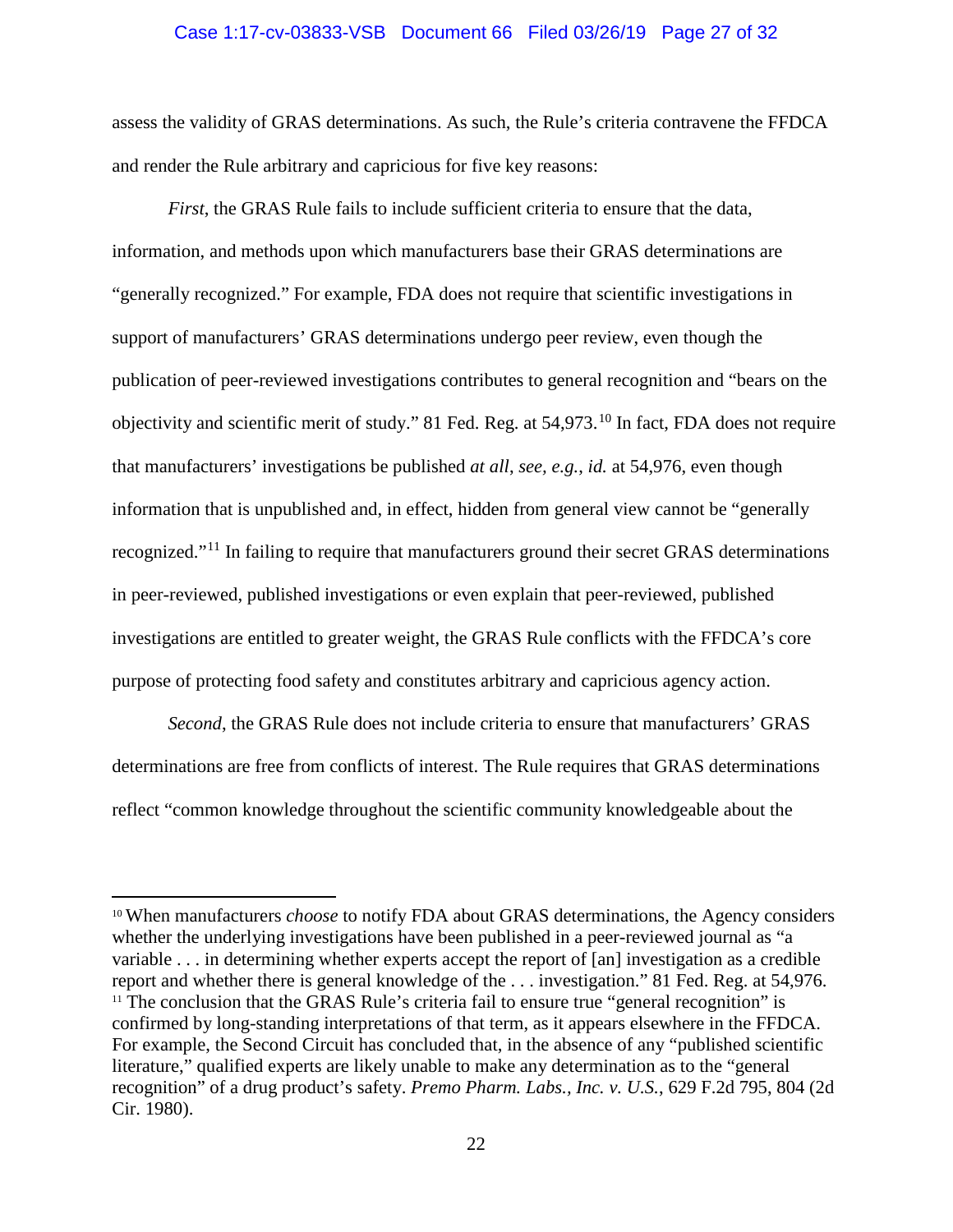#### Case 1:17-cv-03833-VSB Document 66 Filed 03/26/19 Page 27 of 32

assess the validity of GRAS determinations. As such, the Rule's criteria contravene the FFDCA and render the Rule arbitrary and capricious for five key reasons:

*First*, the GRAS Rule fails to include sufficient criteria to ensure that the data, information, and methods upon which manufacturers base their GRAS determinations are "generally recognized." For example, FDA does not require that scientific investigations in support of manufacturers' GRAS determinations undergo peer review, even though the publication of peer-reviewed investigations contributes to general recognition and "bears on the objectivity and scientific merit of study." 81 Fed. Reg. at 54,973. [10](#page-26-1) In fact, FDA does not require that manufacturers' investigations be published *at all*, *see, e.g.*, *id.* at 54,976, even though information that is unpublished and, in effect, hidden from general view cannot be "generally recognized."[11](#page-26-2) In failing to require that manufacturers ground their secret GRAS determinations in peer-reviewed, published investigations or even explain that peer-reviewed, published investigations are entitled to greater weight, the GRAS Rule conflicts with the FFDCA's core purpose of protecting food safety and constitutes arbitrary and capricious agency action.

*Second*, the GRAS Rule does not include criteria to ensure that manufacturers' GRAS determinations are free from conflicts of interest. The Rule requires that GRAS determinations reflect "common knowledge throughout the scientific community knowledgeable about the

 $\overline{\phantom{a}}$ 

<span id="page-26-2"></span><span id="page-26-1"></span><span id="page-26-0"></span><sup>10</sup> When manufacturers *choose* to notify FDA about GRAS determinations, the Agency considers whether the underlying investigations have been published in a peer-reviewed journal as "a variable . . . in determining whether experts accept the report of [an] investigation as a credible report and whether there is general knowledge of the . . . investigation." 81 Fed. Reg. at 54,976.  $11$ <sup>11</sup> The conclusion that the GRAS Rule's criteria fail to ensure true "general recognition" is confirmed by long-standing interpretations of that term, as it appears elsewhere in the FFDCA. For example, the Second Circuit has concluded that, in the absence of any "published scientific literature," qualified experts are likely unable to make any determination as to the "general recognition" of a drug product's safety. *Premo Pharm. Labs., Inc. v. U.S.*, 629 F.2d 795, 804 (2d Cir. 1980).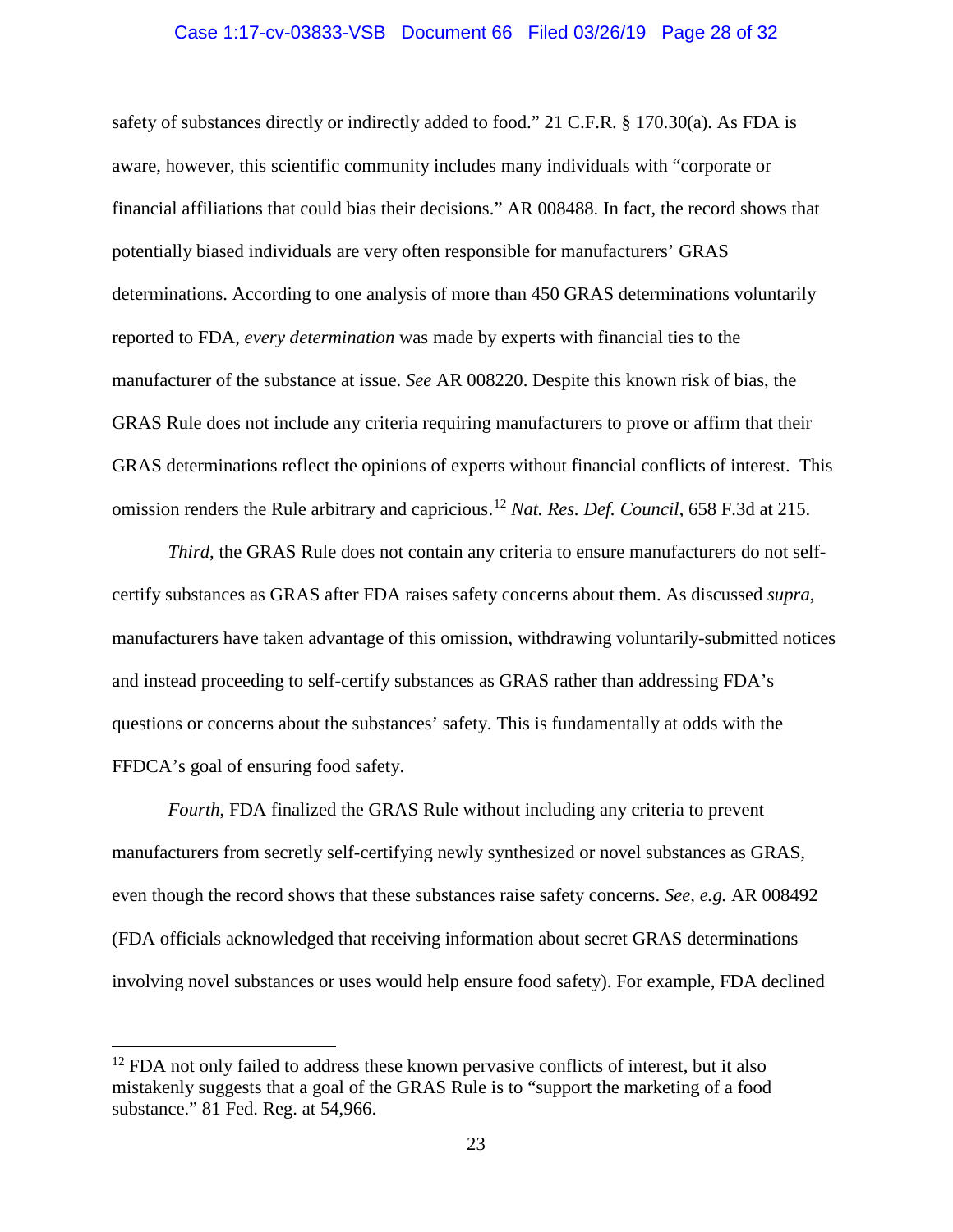#### Case 1:17-cv-03833-VSB Document 66 Filed 03/26/19 Page 28 of 32

safety of substances directly or indirectly added to food." 21 C.F.R. § 170.30(a). As FDA is aware, however, this scientific community includes many individuals with "corporate or financial affiliations that could bias their decisions." AR 008488. In fact, the record shows that potentially biased individuals are very often responsible for manufacturers' GRAS determinations. According to one analysis of more than 450 GRAS determinations voluntarily reported to FDA, *every determination* was made by experts with financial ties to the manufacturer of the substance at issue. *See* AR 008220. Despite this known risk of bias, the GRAS Rule does not include any criteria requiring manufacturers to prove or affirm that their GRAS determinations reflect the opinions of experts without financial conflicts of interest. This omission renders the Rule arbitrary and capricious. [12](#page-27-1) *Nat. Res. Def. Council*, 658 F.3d at 215.

<span id="page-27-0"></span>*Third*, the GRAS Rule does not contain any criteria to ensure manufacturers do not selfcertify substances as GRAS after FDA raises safety concerns about them. As discussed *supra*, manufacturers have taken advantage of this omission, withdrawing voluntarily-submitted notices and instead proceeding to self-certify substances as GRAS rather than addressing FDA's questions or concerns about the substances' safety. This is fundamentally at odds with the FFDCA's goal of ensuring food safety.

*Fourth*, FDA finalized the GRAS Rule without including any criteria to prevent manufacturers from secretly self-certifying newly synthesized or novel substances as GRAS, even though the record shows that these substances raise safety concerns. *See, e.g.* AR 008492 (FDA officials acknowledged that receiving information about secret GRAS determinations involving novel substances or uses would help ensure food safety). For example, FDA declined

l

<span id="page-27-1"></span> $12$  FDA not only failed to address these known pervasive conflicts of interest, but it also mistakenly suggests that a goal of the GRAS Rule is to "support the marketing of a food substance." 81 Fed. Reg. at 54,966.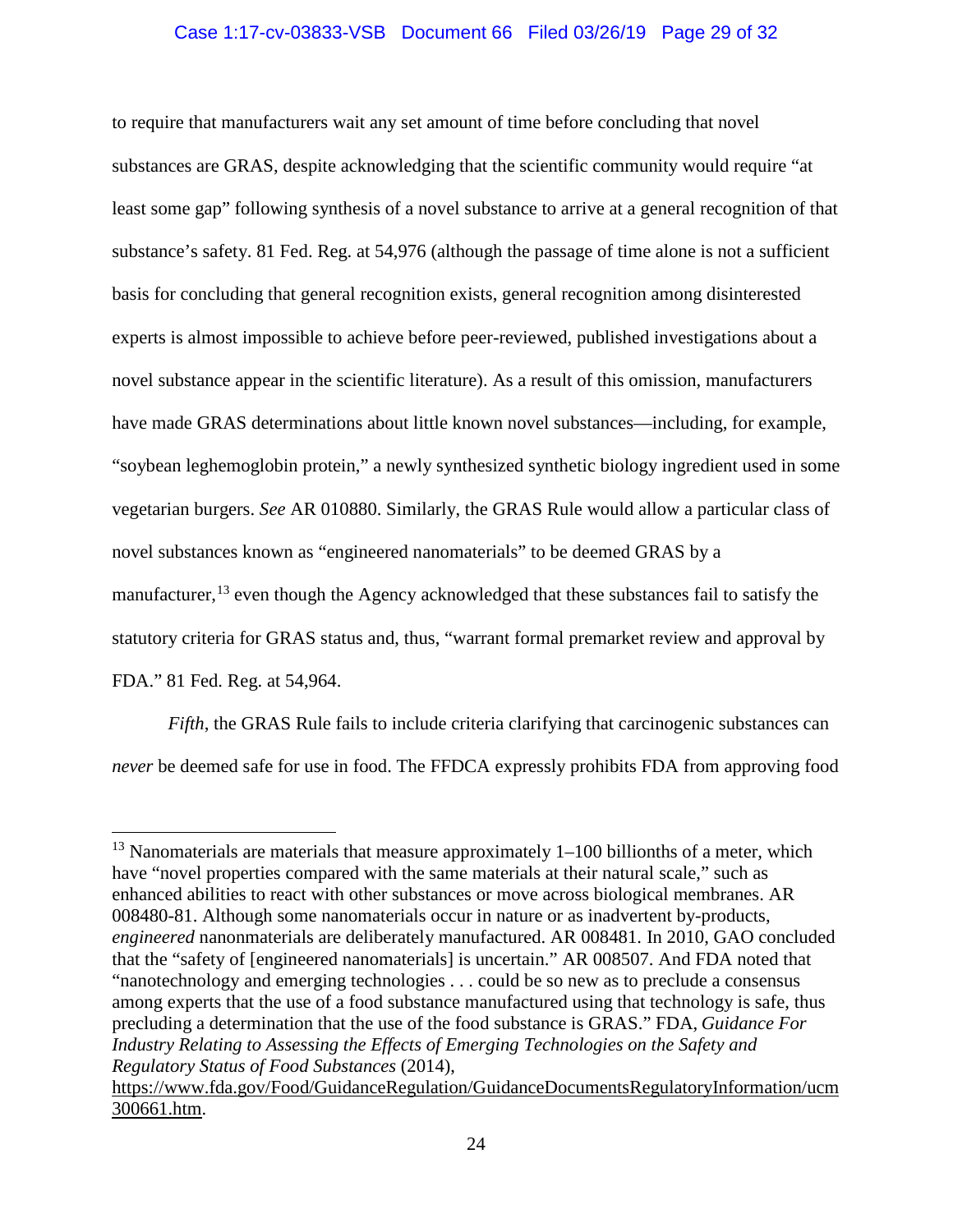### Case 1:17-cv-03833-VSB Document 66 Filed 03/26/19 Page 29 of 32

to require that manufacturers wait any set amount of time before concluding that novel substances are GRAS, despite acknowledging that the scientific community would require "at least some gap" following synthesis of a novel substance to arrive at a general recognition of that substance's safety. 81 Fed. Reg. at 54,976 (although the passage of time alone is not a sufficient basis for concluding that general recognition exists, general recognition among disinterested experts is almost impossible to achieve before peer-reviewed, published investigations about a novel substance appear in the scientific literature). As a result of this omission, manufacturers have made GRAS determinations about little known novel substances—including, for example, "soybean leghemoglobin protein," a newly synthesized synthetic biology ingredient used in some vegetarian burgers. *See* AR 010880. Similarly, the GRAS Rule would allow a particular class of novel substances known as "engineered nanomaterials" to be deemed GRAS by a manufacturer,<sup>[13](#page-28-1)</sup> even though the Agency acknowledged that these substances fail to satisfy the statutory criteria for GRAS status and, thus, "warrant formal premarket review and approval by FDA." 81 Fed. Reg. at 54,964.

*Fifth*, the GRAS Rule fails to include criteria clarifying that carcinogenic substances can *never* be deemed safe for use in food. The FFDCA expressly prohibits FDA from approving food

l

<span id="page-28-1"></span><sup>&</sup>lt;sup>13</sup> Nanomaterials are materials that measure approximately  $1-100$  billionths of a meter, which have "novel properties compared with the same materials at their natural scale," such as enhanced abilities to react with other substances or move across biological membranes. AR 008480-81. Although some nanomaterials occur in nature or as inadvertent by-products, *engineered* nanonmaterials are deliberately manufactured. AR 008481. In 2010, GAO concluded that the "safety of [engineered nanomaterials] is uncertain." AR 008507. And FDA noted that "nanotechnology and emerging technologies . . . could be so new as to preclude a consensus among experts that the use of a food substance manufactured using that technology is safe, thus precluding a determination that the use of the food substance is GRAS." FDA, *Guidance For Industry Relating to Assessing the Effects of Emerging Technologies on the Safety and Regulatory Status of Food Substances* (2014),

<span id="page-28-0"></span>[https://www.fda.gov/Food/GuidanceRegulation/GuidanceDocumentsRegulatoryInformation/ucm](https://www.fda.gov/Food/GuidanceRegulation/GuidanceDocumentsRegulatoryInformation/ucm300661.htm) [300661.htm.](https://www.fda.gov/Food/GuidanceRegulation/GuidanceDocumentsRegulatoryInformation/ucm300661.htm)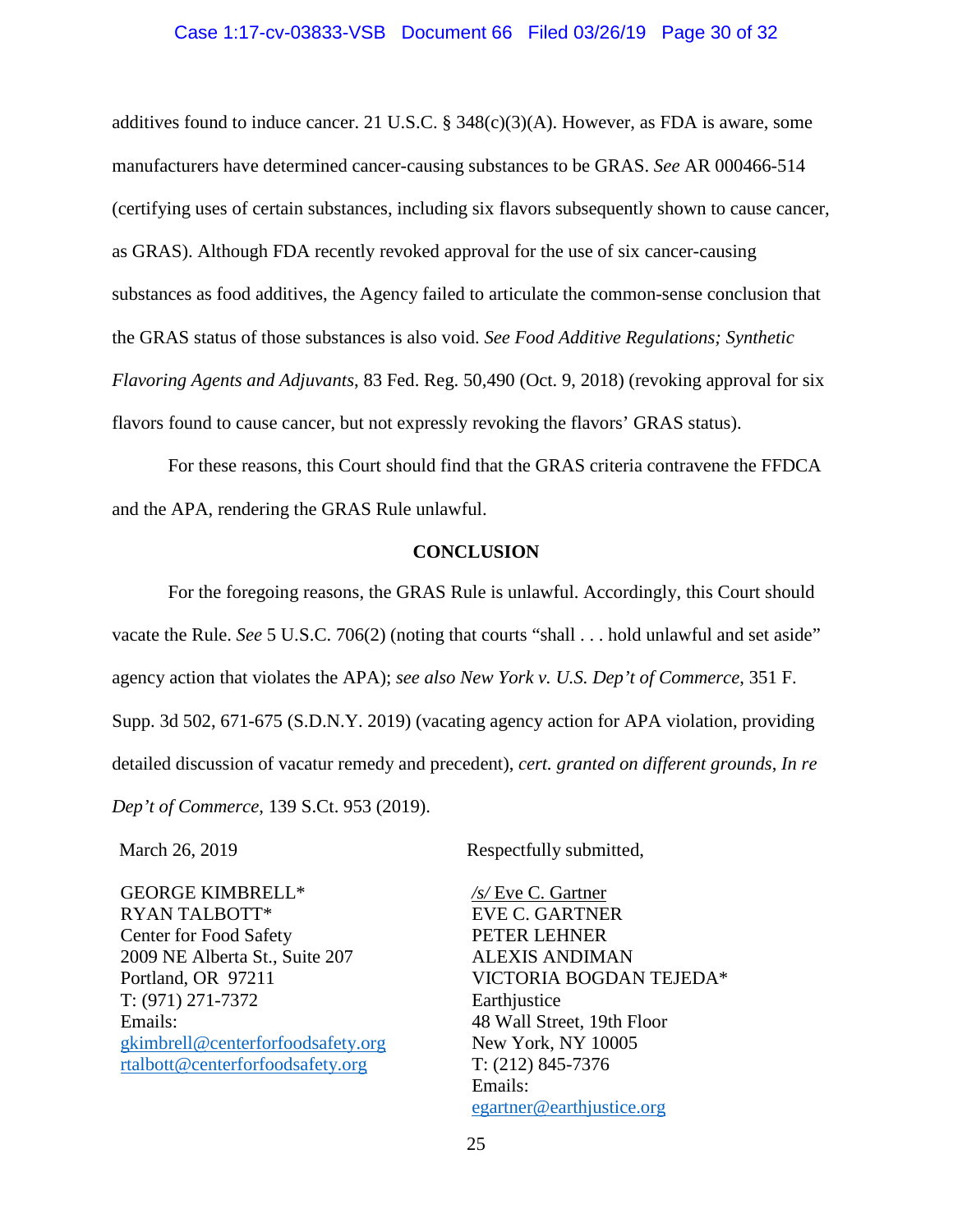#### <span id="page-29-2"></span>Case 1:17-cv-03833-VSB Document 66 Filed 03/26/19 Page 30 of 32

additives found to induce cancer. 21 U.S.C. §  $348(c)(3)(A)$ . However, as FDA is aware, some manufacturers have determined cancer-causing substances to be GRAS. *See* AR 000466-514 (certifying uses of certain substances, including six flavors subsequently shown to cause cancer, as GRAS). Although FDA recently revoked approval for the use of six cancer-causing substances as food additives, the Agency failed to articulate the common-sense conclusion that the GRAS status of those substances is also void. *See Food Additive Regulations; Synthetic Flavoring Agents and Adjuvants*, 83 Fed. Reg. 50,490 (Oct. 9, 2018) (revoking approval for six flavors found to cause cancer, but not expressly revoking the flavors' GRAS status).

For these reasons, this Court should find that the GRAS criteria contravene the FFDCA and the APA, rendering the GRAS Rule unlawful.

#### <span id="page-29-3"></span><span id="page-29-1"></span>**CONCLUSION**

<span id="page-29-0"></span>For the foregoing reasons, the GRAS Rule is unlawful. Accordingly, this Court should vacate the Rule. *See* 5 U.S.C. 706(2) (noting that courts "shall . . . hold unlawful and set aside" agency action that violates the APA); *see also New York v. U.S. Dep't of Commerce*, 351 F. Supp. 3d 502, 671-675 (S.D.N.Y. 2019) (vacating agency action for APA violation, providing detailed discussion of vacatur remedy and precedent), *cert. granted on different grounds*, *In re Dep't of Commerce*, 139 S.Ct. 953 (2019).

GEORGE KIMBRELL\* RYAN TALBOTT\* Center for Food Safety 2009 NE Alberta St., Suite 207 Portland, OR 97211 T: (971) 271-7372 Emails: [gkimbrell@centerforfoodsafety.org](mailto:gkimbrell@centerforfoodsafety.org) [rtalbott@centerforfoodsafety.org](mailto:rtalbott@centerforfoodsafety.org)

March 26, 2019 Respectfully submitted,

*/s/* Eve C. Gartner EVE C. GARTNER PETER LEHNER ALEXIS ANDIMAN VICTORIA BOGDAN TEJEDA\* Earthjustice 48 Wall Street, 19th Floor New York, NY 10005 T: (212) 845-7376 Emails: [egartner@earthjustice.org](mailto:egartner@earthjustice.org)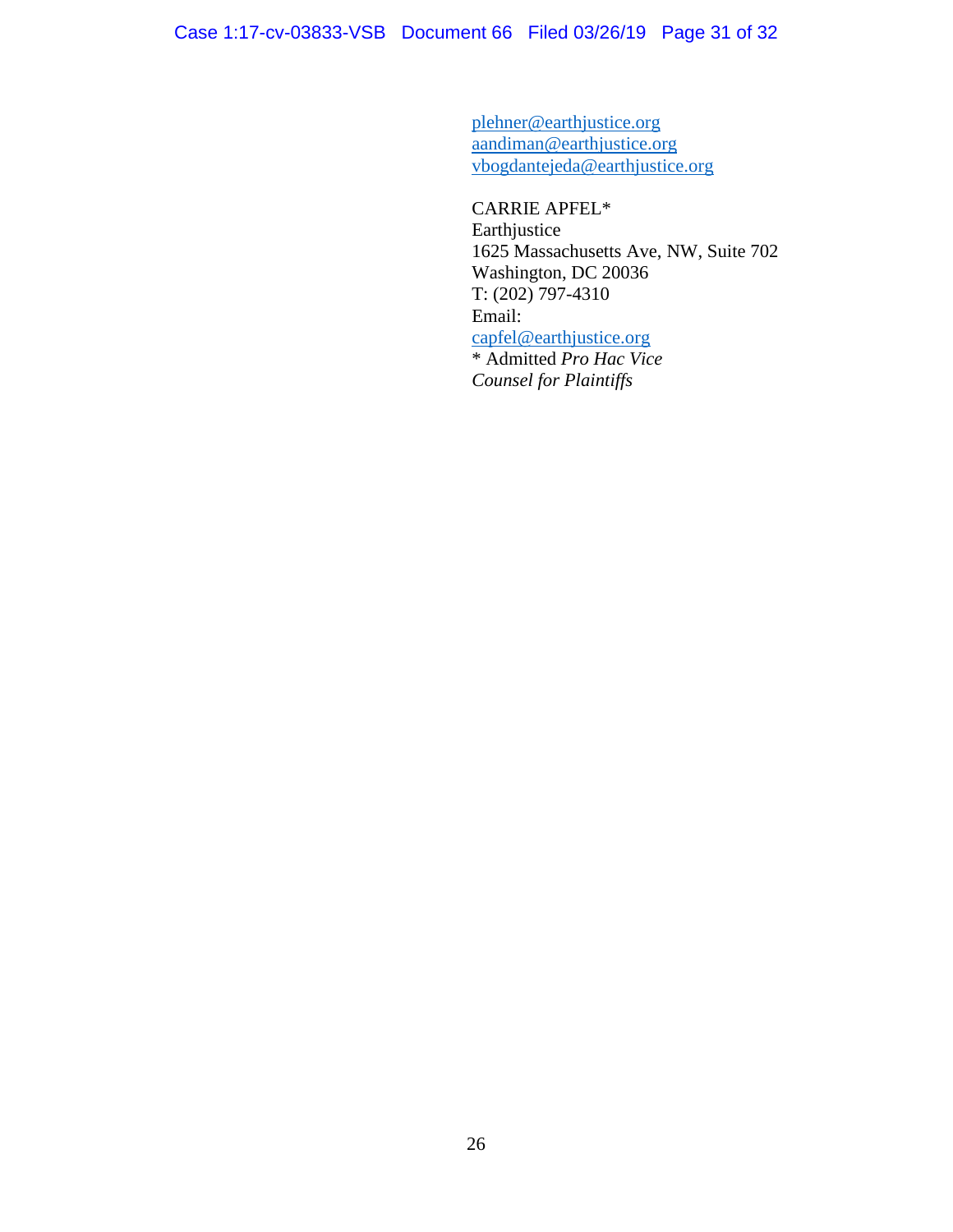[plehner@earthjustice.org](mailto:plehner@earthjustice.org) [aandiman@earthjustice.org](mailto:aandiman@earthjustice.org) vbogdantejeda@earthjustice.org

CARRIE APFEL\* Earthjustice 1625 Massachusetts Ave, NW, Suite 702 Washington, DC 20036 T: (202) 797-4310 Email: [capfel@earthjustice.org](mailto:capfel@earthjustice.org) \* Admitted *Pro Hac Vice Counsel for Plaintiffs*